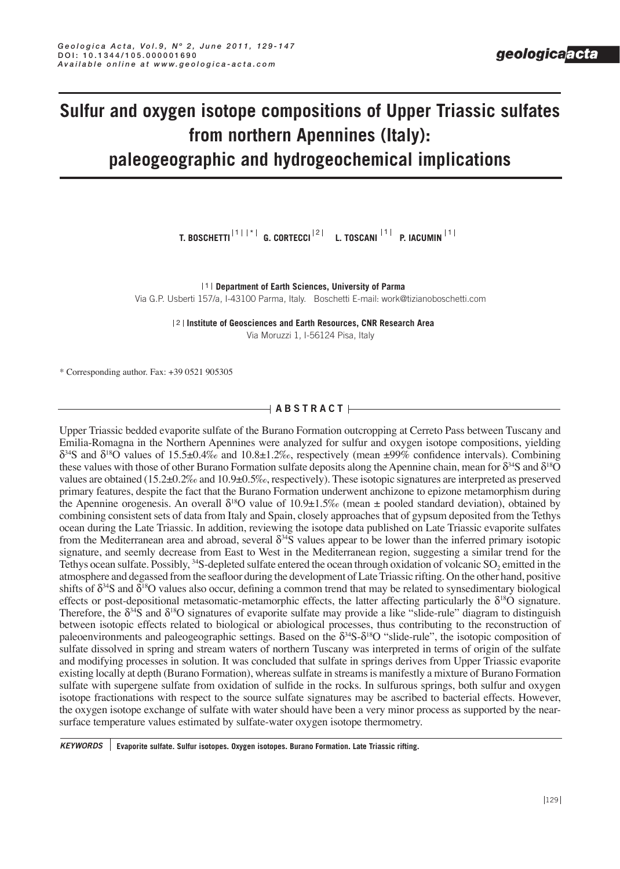# **Sulfur and oxygen isotope compositions of Upper Triassic sulfates from northern Apennines (Italy): paleogeographic and hydrogeochemical implications**

**T. BOSCHETTI G. CORTECCI L. TOSCANI P. IACUMIN**  \* 1 2 1 1

1 Department of Earth Sciences, University of Parma

Via G.P. Usberti 157/a, I-43100 Parma, Italy. Boschetti E-mail: work@tizianoboschetti.com

**Institute of Geosciences and Earth Resources, CNR Research Area** 2 Via Moruzzi 1, I-56124 Pisa, Italy

\* Corresponding author. Fax: +39 0521 905305

# $\rightarrow$  ABSTRACT $\leftarrow$

Upper Triassic bedded evaporite sulfate of the Burano Formation outcropping at Cerreto Pass between Tuscany and Emilia-Romagna in the Northern Apennines were analyzed for sulfur and oxygen isotope compositions, yielding δ<sup>34</sup>S and δ<sup>18</sup>O values of 15.5±0.4‰ and 10.8±1.2‰, respectively (mean ±99% confidence intervals). Combining these values with those of other Burano Formation sulfate deposits along the Apennine chain, mean for  $\delta^{34}S$  and  $\delta^{18}O$ values are obtained (15.2±0.2‰ and 10.9±0.5‰, respectively). These isotopic signatures are interpreted as preserved primary features, despite the fact that the Burano Formation underwent anchizone to epizone metamorphism during the Apennine orogenesis. An overall  $\delta^{18}O$  value of 10.9±1.5‰ (mean ± pooled standard deviation), obtained by combining consistent sets of data from Italy and Spain, closely approaches that of gypsum deposited from the Tethys ocean during the Late Triassic. In addition, reviewing the isotope data published on Late Triassic evaporite sulfates from the Mediterranean area and abroad, several  $\delta^{34}$ S values appear to be lower than the inferred primary isotopic signature, and seemly decrease from East to West in the Mediterranean region, suggesting a similar trend for the Tethys ocean sulfate. Possibly, <sup>34</sup>S-depleted sulfate entered the ocean through oxidation of volcanic SO<sub>2</sub> emitted in the atmosphere and degassed from the seafloor during the development of Late Triassic rifting. On the other hand, positive shifts of  $\delta^{34}S$  and  $\delta^{18}O$  values also occur, defining a common trend that may be related to synsedimentary biological effects or post-depositional metasomatic-metamorphic effects, the latter affecting particularly the  $\delta^{18}O$  signature. Therefore, the  $\delta^{34}S$  and  $\delta^{18}O$  signatures of evaporite sulfate may provide a like "slide-rule" diagram to distinguish between isotopic effects related to biological or abiological processes, thus contributing to the reconstruction of paleoenvironments and paleogeographic settings. Based on the  $\delta^{34}S-\delta^{18}O$  "slide-rule", the isotopic composition of sulfate dissolved in spring and stream waters of northern Tuscany was interpreted in terms of origin of the sulfate and modifying processes in solution. It was concluded that sulfate in springs derives from Upper Triassic evaporite existing locally at depth (Burano Formation), whereas sulfate in streams is manifestly a mixture of Burano Formation sulfate with supergene sulfate from oxidation of sulfide in the rocks. In sulfurous springs, both sulfur and oxygen isotope fractionations with respect to the source sulfate signatures may be ascribed to bacterial effects. However, the oxygen isotope exchange of sulfate with water should have been a very minor process as supported by the nearsurface temperature values estimated by sulfate-water oxygen isotope thermometry.

*KEYWORDS* **Evaporite sulfate. Sulfur isotopes. Oxygen isotopes. Burano Formation. Late Triassic rifting.**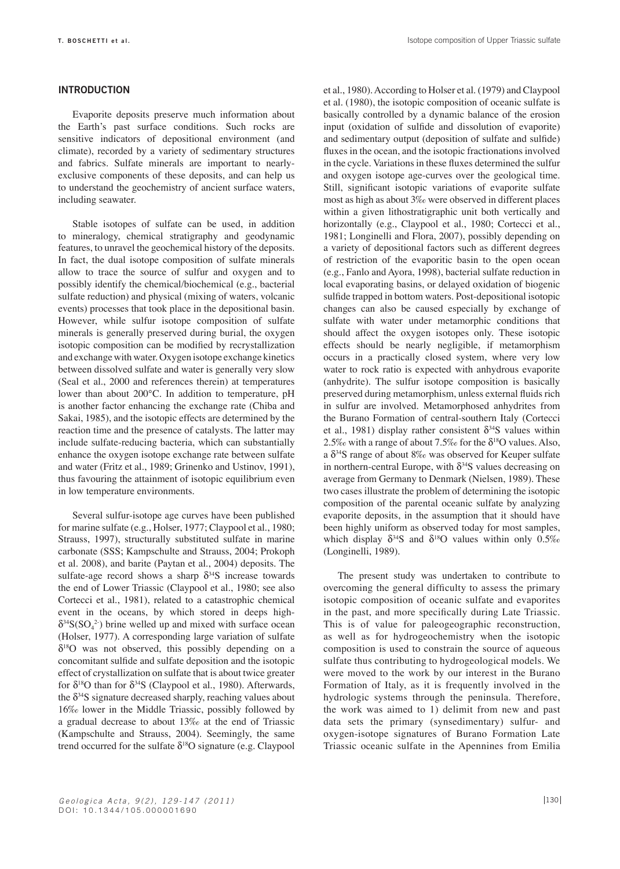#### **Introduction**

Evaporite deposits preserve much information about the Earth's past surface conditions. Such rocks are sensitive indicators of depositional environment (and climate), recorded by a variety of sedimentary structures and fabrics. Sulfate minerals are important to nearlyexclusive components of these deposits, and can help us to understand the geochemistry of ancient surface waters, including seawater.

Stable isotopes of sulfate can be used, in addition to mineralogy, chemical stratigraphy and geodynamic features, to unravel the geochemical history of the deposits. In fact, the dual isotope composition of sulfate minerals allow to trace the source of sulfur and oxygen and to possibly identify the chemical/biochemical (e.g., bacterial sulfate reduction) and physical (mixing of waters, volcanic events) processes that took place in the depositional basin. However, while sulfur isotope composition of sulfate minerals is generally preserved during burial, the oxygen isotopic composition can be modified by recrystallization and exchange with water. Oxygen isotope exchange kinetics between dissolved sulfate and water is generally very slow (Seal et al., 2000 and references therein) at temperatures lower than about 200°C. In addition to temperature, pH is another factor enhancing the exchange rate (Chiba and Sakai, 1985), and the isotopic effects are determined by the reaction time and the presence of catalysts. The latter may include sulfate-reducing bacteria, which can substantially enhance the oxygen isotope exchange rate between sulfate and water (Fritz et al., 1989; Grinenko and Ustinov, 1991), thus favouring the attainment of isotopic equilibrium even in low temperature environments.

Several sulfur-isotope age curves have been published for marine sulfate (e.g., Holser, 1977; Claypool et al., 1980; Strauss, 1997), structurally substituted sulfate in marine carbonate (SSS; Kampschulte and Strauss, 2004; Prokoph et al. 2008), and barite (Paytan et al., 2004) deposits. The sulfate-age record shows a sharp  $\delta^{34}S$  increase towards the end of Lower Triassic (Claypool et al., 1980; see also Cortecci et al., 1981), related to a catastrophic chemical event in the oceans, by which stored in deeps high- $\delta^{34}S(SO_4^2)$  brine welled up and mixed with surface ocean (Holser, 1977). A corresponding large variation of sulfate  $\delta^{18}$ O was not observed, this possibly depending on a concomitant sulfide and sulfate deposition and the isotopic effect of crystallization on sulfate that is about twice greater for  $\delta^{18}$ O than for  $\delta^{34}$ S (Claypool et al., 1980). Afterwards, the  $\delta^{34}S$  signature decreased sharply, reaching values about 16‰ lower in the Middle Triassic, possibly followed by a gradual decrease to about 13‰ at the end of Triassic (Kampschulte and Strauss, 2004). Seemingly, the same trend occurred for the sulfate  $\delta^{18}O$  signature (e.g. Claypool

et al., 1980). According to Holser et al. (1979) and Claypool et al. (1980), the isotopic composition of oceanic sulfate is basically controlled by a dynamic balance of the erosion input (oxidation of sulfide and dissolution of evaporite) and sedimentary output (deposition of sulfate and sulfide) fluxes in the ocean, and the isotopic fractionations involved in the cycle. Variations in these fluxes determined the sulfur and oxygen isotope age-curves over the geological time. Still, significant isotopic variations of evaporite sulfate most as high as about 3‰ were observed in different places within a given lithostratigraphic unit both vertically and horizontally (e.g., Claypool et al., 1980; Cortecci et al., 1981; Longinelli and Flora, 2007), possibly depending on a variety of depositional factors such as different degrees of restriction of the evaporitic basin to the open ocean (e.g., Fanlo and Ayora, 1998), bacterial sulfate reduction in local evaporating basins, or delayed oxidation of biogenic sulfide trapped in bottom waters. Post-depositional isotopic changes can also be caused especially by exchange of sulfate with water under metamorphic conditions that should affect the oxygen isotopes only. These isotopic effects should be nearly negligible, if metamorphism occurs in a practically closed system, where very low water to rock ratio is expected with anhydrous evaporite (anhydrite). The sulfur isotope composition is basically preserved during metamorphism, unless external fluids rich in sulfur are involved. Metamorphosed anhydrites from the Burano Formation of central-southern Italy (Cortecci et al., 1981) display rather consistent  $\delta^{34}S$  values within 2.5‰ with a range of about 7.5‰ for the  $\delta^{18}O$  values. Also, a  $\delta^{34}$ S range of about 8‰ was observed for Keuper sulfate in northern-central Europe, with  $\delta^{34}S$  values decreasing on average from Germany to Denmark (Nielsen, 1989). These two cases illustrate the problem of determining the isotopic composition of the parental oceanic sulfate by analyzing evaporite deposits, in the assumption that it should have been highly uniform as observed today for most samples, which display  $\delta^{34}S$  and  $\delta^{18}O$  values within only 0.5‰ (Longinelli, 1989).

The present study was undertaken to contribute to overcoming the general difficulty to assess the primary isotopic composition of oceanic sulfate and evaporites in the past, and more specifically during Late Triassic. This is of value for paleogeographic reconstruction, as well as for hydrogeochemistry when the isotopic composition is used to constrain the source of aqueous sulfate thus contributing to hydrogeological models. We were moved to the work by our interest in the Burano Formation of Italy, as it is frequently involved in the hydrologic systems through the peninsula. Therefore, the work was aimed to 1) delimit from new and past data sets the primary (synsedimentary) sulfur- and oxygen-isotope signatures of Burano Formation Late Triassic oceanic sulfate in the Apennines from Emilia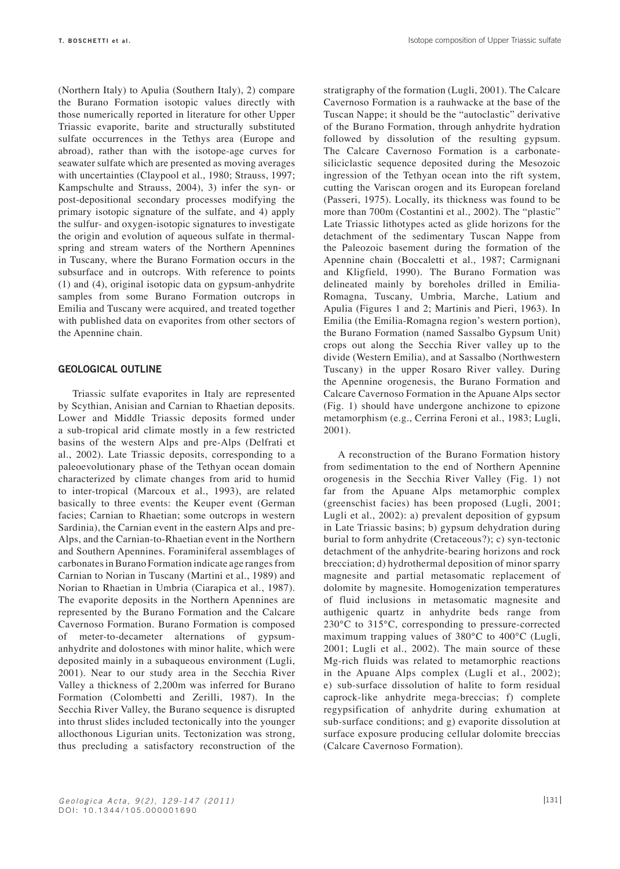(Northern Italy) to Apulia (Southern Italy), 2) compare the Burano Formation isotopic values directly with those numerically reported in literature for other Upper Triassic evaporite, barite and structurally substituted sulfate occurrences in the Tethys area (Europe and abroad), rather than with the isotope-age curves for seawater sulfate which are presented as moving averages with uncertainties (Claypool et al., 1980; Strauss, 1997; Kampschulte and Strauss, 2004), 3) infer the syn- or post-depositional secondary processes modifying the primary isotopic signature of the sulfate, and 4) apply the sulfur- and oxygen-isotopic signatures to investigate the origin and evolution of aqueous sulfate in thermalspring and stream waters of the Northern Apennines in Tuscany, where the Burano Formation occurs in the subsurface and in outcrops. With reference to points (1) and (4), original isotopic data on gypsum-anhydrite samples from some Burano Formation outcrops in Emilia and Tuscany were acquired, and treated together with published data on evaporites from other sectors of the Apennine chain.

#### **geological outline**

Triassic sulfate evaporites in Italy are represented by Scythian, Anisian and Carnian to Rhaetian deposits. Lower and Middle Triassic deposits formed under a sub-tropical arid climate mostly in a few restricted basins of the western Alps and pre-Alps (Delfrati et al., 2002). Late Triassic deposits, corresponding to a paleoevolutionary phase of the Tethyan ocean domain characterized by climate changes from arid to humid to inter-tropical (Marcoux et al., 1993), are related basically to three events: the Keuper event (German facies; Carnian to Rhaetian; some outcrops in western Sardinia), the Carnian event in the eastern Alps and pre-Alps, and the Carnian-to-Rhaetian event in the Northern and Southern Apennines. Foraminiferal assemblages of carbonates in Burano Formation indicate age ranges from Carnian to Norian in Tuscany (Martini et al., 1989) and Norian to Rhaetian in Umbria (Ciarapica et al., 1987). The evaporite deposits in the Northern Apennines are represented by the Burano Formation and the Calcare Cavernoso Formation. Burano Formation is composed of meter-to-decameter alternations of gypsumanhydrite and dolostones with minor halite, which were deposited mainly in a subaqueous environment (Lugli, 2001). Near to our study area in the Secchia River Valley a thickness of 2,200m was inferred for Burano Formation (Colombetti and Zerilli, 1987). In the Secchia River Valley, the Burano sequence is disrupted into thrust slides included tectonically into the younger allocthonous Ligurian units. Tectonization was strong, thus precluding a satisfactory reconstruction of the

stratigraphy of the formation (Lugli, 2001). The Calcare Cavernoso Formation is a rauhwacke at the base of the Tuscan Nappe; it should be the "autoclastic" derivative of the Burano Formation, through anhydrite hydration followed by dissolution of the resulting gypsum. The Calcare Cavernoso Formation is a carbonatesiliciclastic sequence deposited during the Mesozoic ingression of the Tethyan ocean into the rift system, cutting the Variscan orogen and its European foreland (Passeri, 1975). Locally, its thickness was found to be more than 700m (Costantini et al., 2002). The "plastic" Late Triassic lithotypes acted as glide horizons for the detachment of the sedimentary Tuscan Nappe from the Paleozoic basement during the formation of the Apennine chain (Boccaletti et al., 1987; Carmignani and Kligfield, 1990). The Burano Formation was delineated mainly by boreholes drilled in Emilia-Romagna, Tuscany, Umbria, Marche, Latium and Apulia (Figures 1 and 2; Martinis and Pieri, 1963). In Emilia (the Emilia-Romagna region's western portion), the Burano Formation (named Sassalbo Gypsum Unit) crops out along the Secchia River valley up to the divide (Western Emilia), and at Sassalbo (Northwestern Tuscany) in the upper Rosaro River valley. During the Apennine orogenesis, the Burano Formation and Calcare Cavernoso Formation in the Apuane Alps sector (Fig. 1) should have undergone anchizone to epizone metamorphism (e.g., Cerrina Feroni et al., 1983; Lugli, 2001).

A reconstruction of the Burano Formation history from sedimentation to the end of Northern Apennine orogenesis in the Secchia River Valley (Fig. 1) not far from the Apuane Alps metamorphic complex (greenschist facies) has been proposed (Lugli, 2001; Lugli et al., 2002): a) prevalent deposition of gypsum in Late Triassic basins; b) gypsum dehydration during burial to form anhydrite (Cretaceous?); c) syn-tectonic detachment of the anhydrite-bearing horizons and rock brecciation; d) hydrothermal deposition of minor sparry magnesite and partial metasomatic replacement of dolomite by magnesite. Homogenization temperatures of fluid inclusions in metasomatic magnesite and authigenic quartz in anhydrite beds range from 230°C to 315°C, corresponding to pressure-corrected maximum trapping values of 380°C to 400°C (Lugli, 2001; Lugli et al., 2002). The main source of these Mg-rich fluids was related to metamorphic reactions in the Apuane Alps complex (Lugli et al., 2002); e) sub-surface dissolution of halite to form residual caprock-like anhydrite mega-breccias; f) complete regypsification of anhydrite during exhumation at sub-surface conditions; and g) evaporite dissolution at surface exposure producing cellular dolomite breccias (Calcare Cavernoso Formation).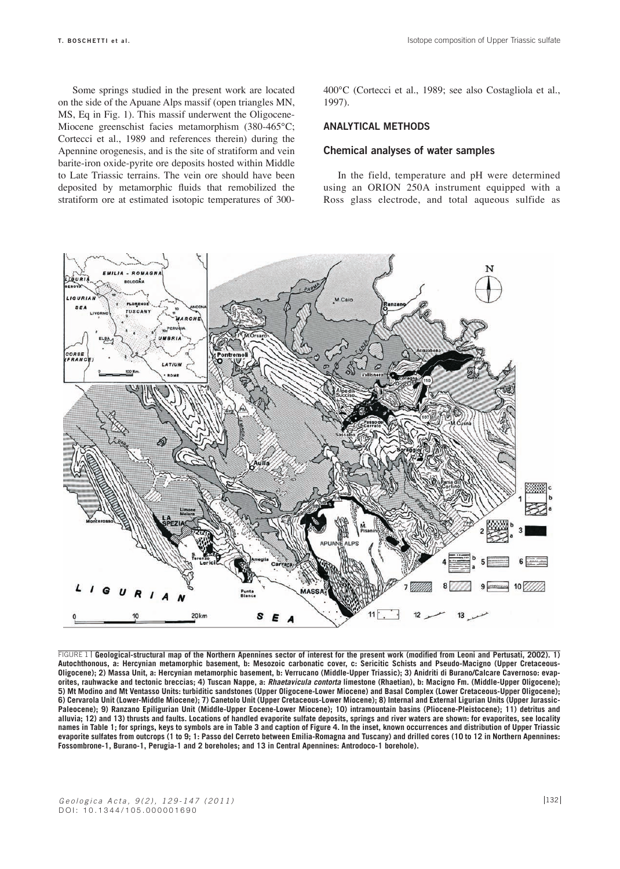Some springs studied in the present work are located on the side of the Apuane Alps massif (open triangles MN, MS, Eq in Fig. 1). This massif underwent the Oligocene-Miocene greenschist facies metamorphism (380-465°C; Cortecci et al., 1989 and references therein) during the Apennine orogenesis, and is the site of stratiform and vein barite-iron oxide-pyrite ore deposits hosted within Middle to Late Triassic terrains. The vein ore should have been deposited by metamorphic fluids that remobilized the stratiform ore at estimated isotopic temperatures of 300400°C (Cortecci et al., 1989; see also Costagliola et al., 1997).

## **Analytical methods**

#### **Chemical analyses of water samples**

In the field, temperature and pH were determined using an ORION 250A instrument equipped with a Ross glass electrode, and total aqueous sulfide as



**Geological-structural map of the Northern Apennines sector of interest for the present work (modified from Leoni and Pertusati, 2002). 1)**  FIGURE 1 **Autochthonous, a: Hercynian metamorphic basement, b: Mesozoic carbonatic cover, c: Sericitic Schists and Pseudo-Macigno (Upper Cretaceous-Oligocene); 2) Massa Unit, a: Hercynian metamorphic basement, b: Verrucano (Middle-Upper Triassic); 3) Anidriti di Burano/Calcare Cavernoso: evaporites, rauhwacke and tectonic breccias; 4) Tuscan Nappe, a:** *Rhaetavicula contorta* **limestone (Rhaetian), b: Macigno Fm. (Middle-Upper Oligocene); 5) Mt Modino and Mt Ventasso Units: turbiditic sandstones (Upper Oligocene-Lower Miocene) and Basal Complex (Lower Cretaceous-Upper Oligocene); 6) Cervarola Unit (Lower-Middle Miocene); 7) Canetolo Unit (Upper Cretaceous-Lower Miocene); 8) Internal and External Ligurian Units (Upper Jurassic-Paleocene); 9) Ranzano Epiligurian Unit (Middle-Upper Eocene-Lower Miocene); 10) intramountain basins (Pliocene-Pleistocene); 11) detritus and alluvia; 12) and 13) thrusts and faults. Locations of handled evaporite sulfate deposits, springs and river waters are shown: for evaporites, see locality names in Table 1; for springs, keys to symbols are in Table 3 and caption of Figure 4. In the inset, known occurrences and distribution of Upper Triassic evaporite sulfates from outcrops (1 to 9; 1: Passo del Cerreto between Emilia-Romagna and Tuscany) and drilled cores (10 to 12 in Northern Apennines: Fossombrone-1, Burano-1, Perugia-1 and 2 boreholes; and 13 in Central Apennines: Antrodoco-1 borehole).**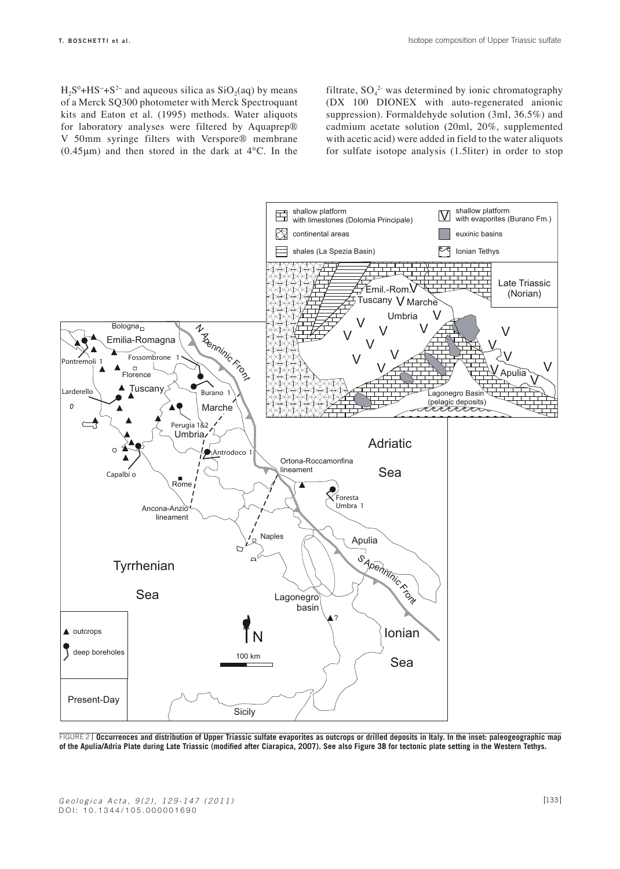$H_2S^0 + HS^- + S^{2-}$  and aqueous silica as  $SiO_2(aq)$  by means of a Merck SQ300 photometer with Merck Spectroquant kits and Eaton et al. (1995) methods. Water aliquots for laboratory analyses were filtered by Aquaprep® V 50mm syringe filters with Verspore® membrane  $(0.45 \mu m)$  and then stored in the dark at  $4^{\circ}$ C. In the

filtrate,  $SO_4^2$  was determined by ionic chromatography (DX 100 DIONEX with auto-regenerated anionic suppression). Formaldehyde solution (3ml, 36.5%) and cadmium acetate solution (20ml, 20%, supplemented with acetic acid) were added in field to the water aliquots for sulfate isotope analysis (1.5liter) in order to stop



**Occurrences and distribution of Upper Triassic sulfate evaporites as outcrops or drilled deposits in Italy. In the inset: paleogeographic map**  FIGURE 2 **of the Apulia/Adria Plate during Late Triassic (modified after Ciarapica, 2007). See also Figure 3B for tectonic plate setting in the Western Tethys.**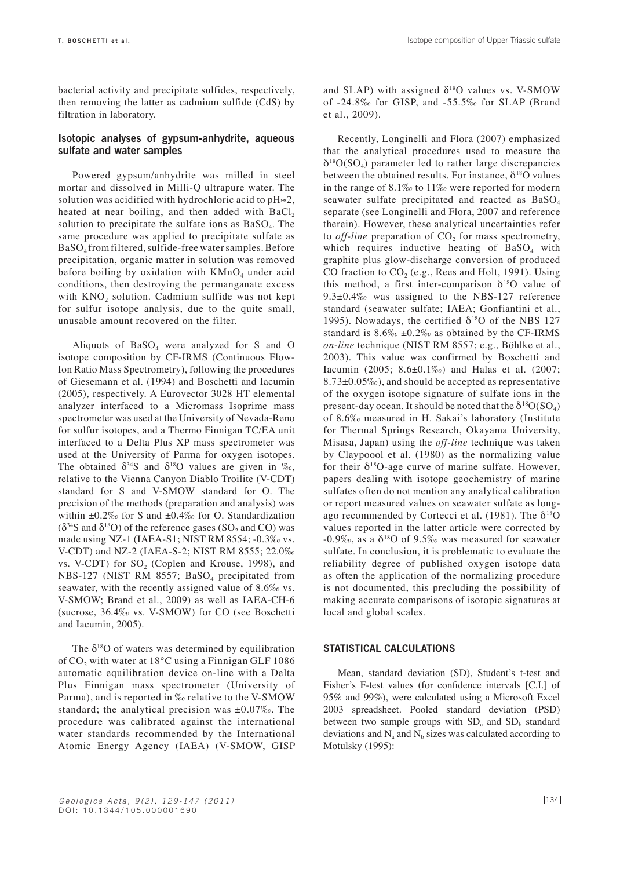bacterial activity and precipitate sulfides, respectively, then removing the latter as cadmium sulfide (CdS) by filtration in laboratory.

# **Isotopic analyses of gypsum-anhydrite, aqueous sulfate and water samples**

Powered gypsum/anhydrite was milled in steel mortar and dissolved in Milli-Q ultrapure water. The solution was acidified with hydrochloric acid to pH≈2, heated at near boiling, and then added with  $BaCl<sub>2</sub>$ solution to precipitate the sulfate ions as  $BaSO<sub>4</sub>$ . The same procedure was applied to precipitate sulfate as BaSO4 from filtered, sulfide-free water samples. Before precipitation, organic matter in solution was removed before boiling by oxidation with  $KMnO<sub>4</sub>$  under acid conditions, then destroying the permanganate excess with  $KNO<sub>2</sub>$  solution. Cadmium sulfide was not kept for sulfur isotope analysis, due to the quite small, unusable amount recovered on the filter.

Aliquots of  $BaSO<sub>4</sub>$  were analyzed for S and O isotope composition by CF-IRMS (Continuous Flow-Ion Ratio Mass Spectrometry), following the procedures of Giesemann et al. (1994) and Boschetti and Iacumin (2005), respectively. A Eurovector 3028 HT elemental analyzer interfaced to a Micromass Isoprime mass spectrometer was used at the University of Nevada-Reno for sulfur isotopes, and a Thermo Finnigan TC/EA unit interfaced to a Delta Plus XP mass spectrometer was used at the University of Parma for oxygen isotopes. The obtained  $\delta^{34}S$  and  $\delta^{18}O$  values are given in ‰, relative to the Vienna Canyon Diablo Troilite (V-CDT) standard for S and V-SMOW standard for O. The precision of the methods (preparation and analysis) was within  $\pm 0.2\%$  for S and  $\pm 0.4\%$  for O. Standardization  $(\delta^{34}S \text{ and } \delta^{18}O)$  of the reference gases  $(SO_2 \text{ and } CO)$  was made using NZ-1 (IAEA-S1; NIST RM 8554; -0.3‰ vs. V-CDT) and NZ-2 (IAEA-S-2; NIST RM 8555; 22.0‰ vs. V-CDT) for  $SO_2$  (Coplen and Krouse, 1998), and NBS-127 (NIST RM 8557; BaSO<sub>4</sub> precipitated from seawater, with the recently assigned value of 8.6‰ vs. V-SMOW; Brand et al., 2009) as well as IAEA-CH-6 (sucrose, 36.4‰ vs. V-SMOW) for CO (see Boschetti and Iacumin, 2005).

The  $\delta^{18}$ O of waters was determined by equilibration of  $CO<sub>2</sub>$  with water at 18°C using a Finnigan GLF 1086 automatic equilibration device on-line with a Delta Plus Finnigan mass spectrometer (University of Parma), and is reported in ‰ relative to the V-SMOW standard; the analytical precision was  $\pm 0.07\%$ . The procedure was calibrated against the international water standards recommended by the International Atomic Energy Agency (IAEA) (V-SMOW, GISP and SLAP) with assigned  $\delta^{18}O$  values vs. V-SMOW of -24.8‰ for GISP, and -55.5‰ for SLAP (Brand et al., 2009).

Recently, Longinelli and Flora (2007) emphasized that the analytical procedures used to measure the  $\delta^{18}O(SO_4)$  parameter led to rather large discrepancies between the obtained results. For instance,  $\delta^{18}$ O values in the range of 8.1‰ to 11‰ were reported for modern seawater sulfate precipitated and reacted as BaSO<sub>4</sub> separate (see Longinelli and Flora, 2007 and reference therein). However, these analytical uncertainties refer to *off-line* preparation of  $CO<sub>2</sub>$  for mass spectrometry, which requires inductive heating of  $BaSO<sub>4</sub>$  with graphite plus glow-discharge conversion of produced CO fraction to  $CO<sub>2</sub>$  (e.g., Rees and Holt, 1991). Using this method, a first inter-comparison  $\delta^{18}$ O value of 9.3±0.4‰ was assigned to the NBS-127 reference standard (seawater sulfate; IAEA; Gonfiantini et al., 1995). Nowadays, the certified  $\delta^{18}$ O of the NBS 127 standard is  $8.6\% \pm 0.2\%$  as obtained by the CF-IRMS *on-line* technique (NIST RM 8557; e.g., Böhlke et al., 2003). This value was confirmed by Boschetti and Iacumin (2005; 8.6±0.1‰) and Halas et al. (2007;  $8.73\pm0.05\%$ , and should be accepted as representative of the oxygen isotope signature of sulfate ions in the present-day ocean. It should be noted that the  $\delta^{18}O(SO_4)$ of 8.6‰ measured in H. Sakai's laboratory (Institute for Thermal Springs Research, Okayama University, Misasa, Japan) using the *off-line* technique was taken by Claypoool et al. (1980) as the normalizing value for their  $\delta^{18}$ O-age curve of marine sulfate. However, papers dealing with isotope geochemistry of marine sulfates often do not mention any analytical calibration or report measured values on seawater sulfate as longago recommended by Cortecci et al. (1981). The  $\delta^{18}O$ values reported in the latter article were corrected by -0.9‰, as a  $\delta^{18}O$  of 9.5‰ was measured for seawater sulfate. In conclusion, it is problematic to evaluate the reliability degree of published oxygen isotope data as often the application of the normalizing procedure is not documented, this precluding the possibility of making accurate comparisons of isotopic signatures at local and global scales.

#### **Statistical calculations**

Mean, standard deviation (SD), Student's t-test and Fisher's F-test values (for confidence intervals [C.I.] of 95% and 99%), were calculated using a Microsoft Excel 2003 spreadsheet. Pooled standard deviation (PSD) between two sample groups with  $SD<sub>a</sub>$  and  $SD<sub>b</sub>$  standard deviations and  $N_a$  and  $N_b$  sizes was calculated according to Motulsky (1995):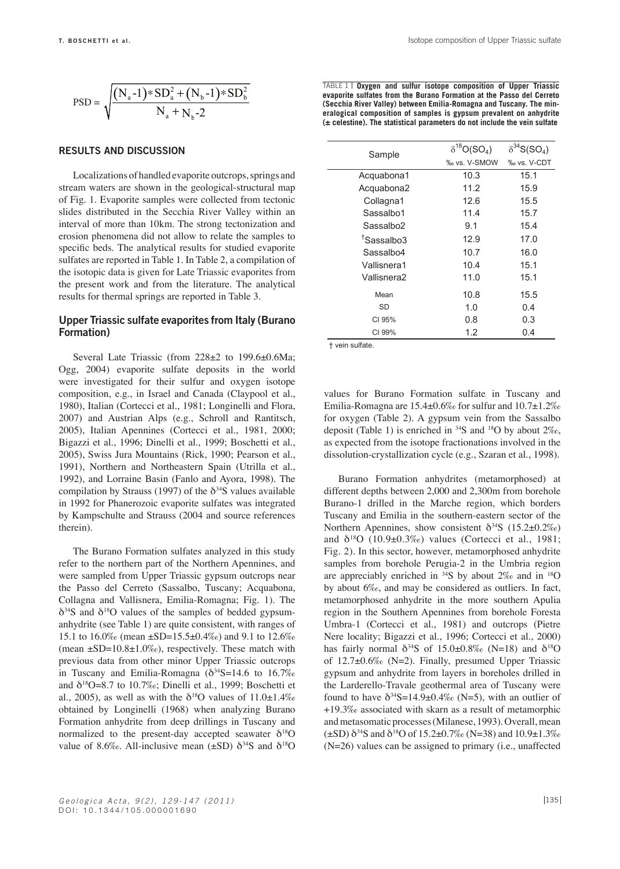$$
PSD = \sqrt{\frac{(N_a - 1) * SD_a^2 + (N_b - 1) * SD_b^2}{N_a + N_b - 2}}
$$

#### **Results and discussion**

Localizations of handled evaporite outcrops, springs and stream waters are shown in the geological-structural map of Fig. 1. Evaporite samples were collected from tectonic slides distributed in the Secchia River Valley within an interval of more than 10km. The strong tectonization and erosion phenomena did not allow to relate the samples to specific beds. The analytical results for studied evaporite sulfates are reported in Table 1. In Table 2, a compilation of the isotopic data is given for Late Triassic evaporites from the present work and from the literature. The analytical results for thermal springs are reported in Table 3.

# **Upper Triassic sulfate evaporites from Italy (Burano Formation)**

Several Late Triassic (from 228±2 to 199.6±0.6Ma; Ogg, 2004) evaporite sulfate deposits in the world were investigated for their sulfur and oxygen isotope composition, e.g., in Israel and Canada (Claypool et al., 1980), Italian (Cortecci et al., 1981; Longinelli and Flora, 2007) and Austrian Alps (e.g., Schroll and Rantitsch, 2005), Italian Apennines (Cortecci et al., 1981, 2000; Bigazzi et al., 1996; Dinelli et al., 1999; Boschetti et al., 2005), Swiss Jura Mountains (Rick, 1990; Pearson et al., 1991), Northern and Northeastern Spain (Utrilla et al., 1992), and Lorraine Basin (Fanlo and Ayora, 1998). The compilation by Strauss (1997) of the  $\delta^{34}S$  values available in 1992 for Phanerozoic evaporite sulfates was integrated by Kampschulte and Strauss (2004 and source references therein).

The Burano Formation sulfates analyzed in this study refer to the northern part of the Northern Apennines, and were sampled from Upper Triassic gypsum outcrops near the Passo del Cerreto (Sassalbo, Tuscany; Acquabona, Collagna and Vallisnera, Emilia-Romagna; Fig. 1). The  $\delta^{34}S$  and  $\delta^{18}O$  values of the samples of bedded gypsumanhydrite (see Table 1) are quite consistent, with ranges of 15.1 to 16.0‰ (mean ±SD=15.5±0.4‰) and 9.1 to 12.6‰ (mean  $\pm$ SD=10.8 $\pm$ 1.0‰), respectively. These match with previous data from other minor Upper Triassic outcrops in Tuscany and Emilia-Romagna ( $\delta^{34}S=14.6$  to 16.7‰ and  $\delta^{18}O=8.7$  to 10.7‰; Dinelli et al., 1999; Boschetti et al., 2005), as well as with the  $\delta^{18}$ O values of 11.0 $\pm$ 1.4‰ obtained by Longinelli (1968) when analyzing Burano Formation anhydrite from deep drillings in Tuscany and normalized to the present-day accepted seawater  $\delta^{18}O$ value of 8.6‰. All-inclusive mean ( $\pm$ SD)  $\delta^{34}$ S and  $\delta^{18}$ O

TABLE 1 | Oxygen and sulfur isotope composition of Upper Triassic **evaporite sulfates from the Burano Formation at the Passo del Cerreto (Secchia River Valley) between Emilia-Romagna and Tuscany. The mineralogical composition of samples is gypsum prevalent on anhydrite (± celestine). The statistical parameters do not include the vein sulfate**

| Sample                 | $\delta^{18}O(SO_4)$ | $\delta^{34}S(SO_4)$ |  |  |
|------------------------|----------------------|----------------------|--|--|
|                        | ‰ vs. V-SMOW         | ‰ vs. V-CDT          |  |  |
| Acquabona1             | 10.3                 | 15.1                 |  |  |
| Acquabona2             | 11.2                 | 15.9                 |  |  |
| Collagna1              | 12.6                 | 15.5                 |  |  |
| Sassalbo1              | 11.4                 | 15.7                 |  |  |
| Sassalbo2              | 9.1                  | 15.4                 |  |  |
| <sup>T</sup> Sassalbo3 | 12.9                 | 17.0                 |  |  |
| Sassalbo4              | 10.7                 | 16.0                 |  |  |
| Vallisnera1            | 10.4                 | 15.1                 |  |  |
| Vallisnera2            | 11.0                 | 15.1                 |  |  |
| Mean                   | 10.8                 | 15.5                 |  |  |
| SD                     | 1.0                  | 0.4                  |  |  |
| CI 95%                 | 0.8                  | 0.3                  |  |  |
| CI 99%                 | 1.2                  | 0.4                  |  |  |

† vein sulfate.

values for Burano Formation sulfate in Tuscany and Emilia-Romagna are 15.4±0.6‰ for sulfur and 10.7±1.2‰ for oxygen (Table 2). A gypsum vein from the Sassalbo deposit (Table 1) is enriched in  $34S$  and  $18O$  by about  $2\%$ . as expected from the isotope fractionations involved in the dissolution-crystallization cycle (e.g., Szaran et al., 1998).

Burano Formation anhydrites (metamorphosed) at different depths between 2,000 and 2,300m from borehole Burano-1 drilled in the Marche region, which borders Tuscany and Emilia in the southern-eastern sector of the Northern Apennines, show consistent  $\delta^{34}S$  (15.2±0.2‰) and  $\delta^{18}O$  (10.9±0.3‰) values (Cortecci et al., 1981; Fig. 2). In this sector, however, metamorphosed anhydrite samples from borehole Perugia-2 in the Umbria region are appreciably enriched in  $34S$  by about  $2\%$  and in  $18O$ by about 6‰, and may be considered as outliers. In fact, metamorphosed anhydrite in the more southern Apulia region in the Southern Apennines from borehole Foresta Umbra-1 (Cortecci et al., 1981) and outcrops (Pietre Nere locality; Bigazzi et al., 1996; Cortecci et al., 2000) has fairly normal  $\delta^{34}S$  of 15.0±0.8‰ (N=18) and  $\delta^{18}O$ of 12.7±0.6‰ (N=2). Finally, presumed Upper Triassic gypsum and anhydrite from layers in boreholes drilled in the Larderello-Travale geothermal area of Tuscany were found to have  $\delta^{34}S=14.9\pm0.4\%$  (N=5), with an outlier of +19.3‰ associated with skarn as a result of metamorphic and metasomatic processes (Milanese, 1993). Overall, mean  $(\pm\mathrm{SD})\,\delta^{34}\mathrm{S}$  and  $\delta^{18}\mathrm{O}$  of  $15.2\pm0.7\%$  (N=38) and  $10.9\pm1.3\%$ (N=26) values can be assigned to primary (i.e., unaffected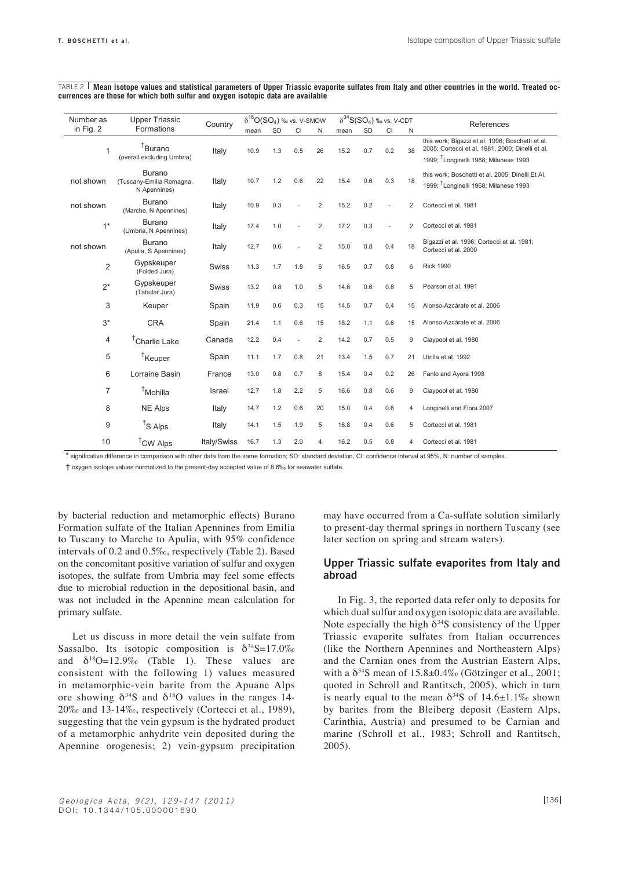| Number as      | <b>Upper Triassic</b>                                     |             | $\delta^{18}O(SO_4)$ ‰ vs. V-SMOW |           |     | $\delta^{34}S(SO_4)$ ‰ vs. V-CDT |      |     |           | References |                                                                                                                                                           |
|----------------|-----------------------------------------------------------|-------------|-----------------------------------|-----------|-----|----------------------------------|------|-----|-----------|------------|-----------------------------------------------------------------------------------------------------------------------------------------------------------|
| in Fig. 2      | Formations                                                | Country     | mean                              | <b>SD</b> | CI  | N                                | mean | SD  | <b>CI</b> | N          |                                                                                                                                                           |
| 1              | <sup>†</sup> Burano<br>(overall excluding Umbria)         | Italy       | 10.9                              | 1.3       | 0.5 | 26                               | 15.2 | 0.7 | 0.2       | 38         | this work; Bigazzi et al. 1996; Boschetti et al.<br>2005; Cortecci et al. 1981, 2000; Dinelli et al.<br>1999; <sup>T</sup> Longinelli 1968; Milanese 1993 |
| not shown      | <b>Burano</b><br>(Tuscany-Emilia Romagna,<br>N Apennines) | Italy       | 10.7                              | 1.2       | 0.6 | 22                               | 15.4 | 0.6 | 0.3       | 18         | this work; Boschetti et al. 2005; Dinelli Et Al.<br>1999; <sup>T</sup> Longinelli 1968; Milanese 1993                                                     |
| not shown      | <b>Burano</b><br>(Marche, N Apennines)                    | Italy       | 10.9                              | 0.3       |     | $\overline{2}$                   | 15.2 | 0.2 |           | 2          | Cortecci et al. 1981                                                                                                                                      |
| $1*$           | <b>Burano</b><br>(Umbria, N Apennines)                    | Italy       | 17.4                              | 1.0       |     | $\overline{2}$                   | 17.2 | 0.3 |           | 2          | Cortecci et al. 1981                                                                                                                                      |
| not shown      | <b>Burano</b><br>(Apulia, S Apennines)                    | Italy       | 12.7                              | 0.6       |     | $\overline{2}$                   | 15.0 | 0.8 | 0.4       | 18         | Bigazzi et al. 1996; Cortecci et al. 1981;<br>Cortecci et al. 2000                                                                                        |
| $\overline{2}$ | Gypskeuper<br>(Folded Jura)                               | Swiss       | 11.3                              | 1.7       | 1.8 | 6                                | 16.5 | 0.7 | 0.8       | 6          | <b>Rick 1990</b>                                                                                                                                          |
| $2^*$          | Gypskeuper<br>(Tabular Jura)                              | Swiss       | 13.2                              | 0.8       | 1.0 | 5                                | 14.6 | 0.6 | 0.8       | 5          | Pearson et al. 1991                                                                                                                                       |
| 3              | Keuper                                                    | Spain       | 11.9                              | 0.6       | 0.3 | 15                               | 14.5 | 0.7 | 0.4       | 15         | Alonso-Azcárate et al. 2006                                                                                                                               |
| $3*$           | <b>CRA</b>                                                | Spain       | 21.4                              | 1.1       | 0.6 | 15                               | 18.2 | 1.1 | 0.6       | 15         | Alonso-Azcárate et al. 2006                                                                                                                               |
| 4              | <sup>†</sup> Charlie Lake                                 | Canada      | 12.2                              | 0.4       |     | $\overline{2}$                   | 14.2 | 0.7 | 0.5       | 9          | Claypool et al. 1980                                                                                                                                      |
| 5              | <sup>T</sup> Keuper                                       | Spain       | 11.1                              | 1.7       | 0.8 | 21                               | 13.4 | 1.5 | 0.7       | 21         | Utrilla et al. 1992                                                                                                                                       |
| 6              | Lorraine Basin                                            | France      | 13.0                              | 0.8       | 0.7 | 8                                | 15.4 | 0.4 | 0.2       | 26         | Fanlo and Ayora 1998                                                                                                                                      |
| 7              | <sup>†</sup> Mohilla                                      | Israel      | 12.7                              | 1.8       | 2.2 | 5                                | 16.6 | 0.8 | 0.6       | 9          | Claypool et al. 1980                                                                                                                                      |
| 8              | <b>NE Alps</b>                                            | Italy       | 14.7                              | 1.2       | 0.6 | 20                               | 15.0 | 0.4 | 0.6       | 4          | Longinelli and Flora 2007                                                                                                                                 |
| 9              | <sup>t</sup> S Alps                                       | Italy       | 14.1                              | 1.5       | 1.9 | 5                                | 16.8 | 0.4 | 0.6       | 5          | Cortecci et al. 1981                                                                                                                                      |
| 10             | <sup>†</sup> CW Alps                                      | Italy/Swiss | 16.7                              | 1.3       | 2.0 | 4                                | 16.2 | 0.5 | 0.8       | 4          | Cortecci et al. 1981                                                                                                                                      |

**Mean isotope values and statistical parameters of Upper Triassic evaporite sulfates from Italy and other countries in the world. Treated oc-**TABLE 2**currences are those for which both sulfur and oxygen isotopic data are available**

\* significative difference in comparison with other data from the same formation; SD: standard deviation, CI: confidence interval at 95%, N: number of samples.

† oxygen isotope values normalized to the present-day accepted value of 8.6‰ for seawater sulfate.

by bacterial reduction and metamorphic effects) Burano Formation sulfate of the Italian Apennines from Emilia to Tuscany to Marche to Apulia, with 95% confidence intervals of 0.2 and 0.5‰, respectively (Table 2). Based on the concomitant positive variation of sulfur and oxygen isotopes, the sulfate from Umbria may feel some effects due to microbial reduction in the depositional basin, and was not included in the Apennine mean calculation for primary sulfate.

Let us discuss in more detail the vein sulfate from Sassalbo. Its isotopic composition is  $\delta^{34}S=17.0\%$ and  $\delta^{18}O=12.9\%$  (Table 1). These values are consistent with the following 1) values measured in metamorphic-vein barite from the Apuane Alps ore showing  $\delta^{34}S$  and  $\delta^{18}O$  values in the ranges 14-20‰ and 13-14‰, respectively (Cortecci et al., 1989), suggesting that the vein gypsum is the hydrated product of a metamorphic anhydrite vein deposited during the Apennine orogenesis; 2) vein-gypsum precipitation

may have occurred from a Ca-sulfate solution similarly to present-day thermal springs in northern Tuscany (see later section on spring and stream waters).

#### **Upper Triassic sulfate evaporites from Italy and abroad**

In Fig. 3, the reported data refer only to deposits for which dual sulfur and oxygen isotopic data are available. Note especially the high  $\delta^{34}S$  consistency of the Upper Triassic evaporite sulfates from Italian occurrences (like the Northern Apennines and Northeastern Alps) and the Carnian ones from the Austrian Eastern Alps, with a  $\delta^{34}$ S mean of 15.8±0.4‰ (Götzinger et al., 2001; quoted in Schroll and Rantitsch, 2005), which in turn is nearly equal to the mean  $\delta^{34}S$  of 14.6±1.1‰ shown by barites from the Bleiberg deposit (Eastern Alps, Carinthia, Austria) and presumed to be Carnian and marine (Schroll et al., 1983; Schroll and Rantitsch, 2005).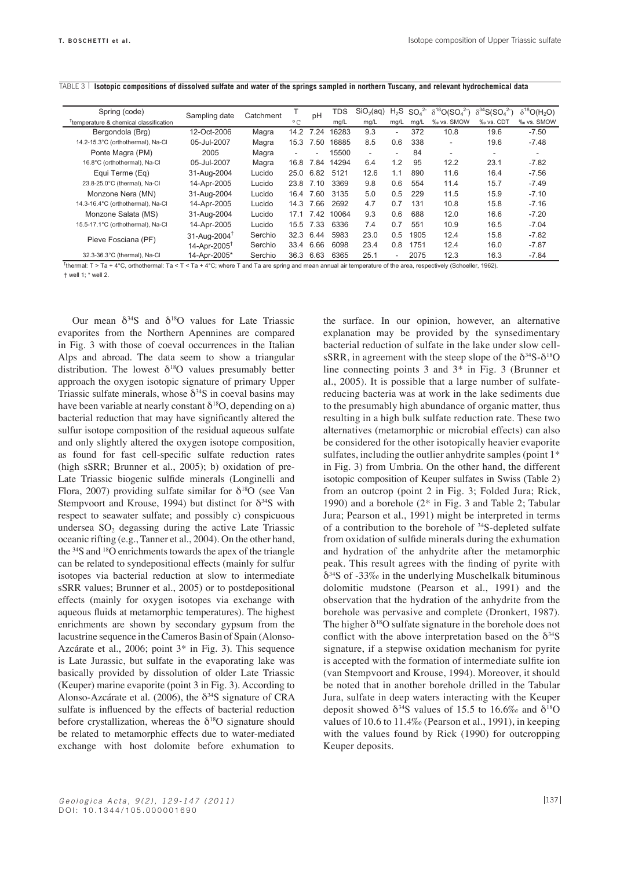| Spring (code)                                      | Sampling date                           | Catchment |                          | pH                       | <b>TDS</b> | SiO <sub>2</sub> (aq) | $H_2S$ | SO <sub>4</sub> <sup>2</sup> | $\delta^{18}O(SO_4^2)$ | $\delta^{34}S(SO_4^2)$ | $\delta^{18}O(\mathsf{H}_2\mathsf{O})$ |
|----------------------------------------------------|-----------------------------------------|-----------|--------------------------|--------------------------|------------|-----------------------|--------|------------------------------|------------------------|------------------------|----------------------------------------|
| <sup>T</sup> temperature & chemical classification |                                         |           | $^{\circ}$ C             |                          | mg/L       | mg/L                  | mg/L   | mg/L                         | ‰ vs. SMOW             | ‰ vs. CDT              | % vs. SMOW                             |
| Bergondola (Brg)                                   | 12-Oct-2006                             | Magra     | 14.2                     | 7.24                     | 16283      | 9.3                   | $\sim$ | 372                          | 10.8                   | 19.6                   | $-7.50$                                |
| 14.2-15.3°C (orthothermal), Na-Cl                  | 05-Jul-2007                             | Magra     | 15.3                     | 7.50                     | 16885      | 8.5                   | 0.6    | 338                          | ٠                      | 19.6                   | $-7.48$                                |
| Ponte Magra (PM)                                   | 2005                                    | Magra     | $\overline{\phantom{a}}$ | $\overline{\phantom{a}}$ | 15500      | $\sim$                | ٠      | 84                           | ٠                      | ۰                      | $\overline{\phantom{a}}$               |
| 16.8°C (orthothermal), Na-Cl                       | 05-Jul-2007                             | Magra     | 16.8                     | 7.84                     | 14294      | 6.4                   | 1.2    | 95                           | 12.2                   | 23.1                   | $-7.82$                                |
| Equi Terme (Eq)                                    | 31-Aug-2004                             | Lucido    | 25.0                     | 6.82                     | 5121       | 12.6                  | 1.1    | 890                          | 11.6                   | 16.4                   | $-7.56$                                |
| 23.8-25.0°C (thermal), Na-Cl                       | 14-Apr-2005                             | Lucido    | 23.8                     | 7.10                     | 3369       | 9.8                   | 0.6    | 554                          | 11.4                   | 15.7                   | $-7.49$                                |
| Monzone Nera (MN)                                  | 31-Aug-2004                             | Lucido    | 16.4                     | 7.60                     | 3135       | 5.0                   | 0.5    | 229                          | 11.5                   | 15.9                   | $-7.10$                                |
| 14.3-16.4°C (orthothermal), Na-Cl                  | 14-Apr-2005                             | Lucido    | 14.3                     | 7.66                     | 2692       | 4.7                   | 0.7    | 131                          | 10.8                   | 15.8                   | $-7.16$                                |
| Monzone Salata (MS)                                | 31-Aug-2004                             | Lucido    | 17.1                     | 7.42                     | 10064      | 9.3                   | 0.6    | 688                          | 12.0                   | 16.6                   | $-7.20$                                |
| 15.5-17.1°C (orthothermal), Na-Cl                  | 14-Apr-2005                             | Lucido    | 15.5                     | 7.33                     | 6336       | 7.4                   | 0.7    | 551                          | 10.9                   | 16.5                   | $-7.04$                                |
| Pieve Fosciana (PF)                                | $31 - \text{Au}$ a $-2004$ <sup>T</sup> | Serchio   | 32.3                     | 6.44                     | 5983       | 23.0                  | 0.5    | 1905                         | 12.4                   | 15.8                   | $-7.82$                                |
|                                                    | 14-Apr-2005 <sup>T</sup>                | Serchio   | 33.4                     | 6.66                     | 6098       | 23.4                  | 0.8    | 1751                         | 12.4                   | 16.0                   | $-7.87$                                |
| 32.3-36.3°C (thermal), Na-Cl                       | 14-Apr-2005*                            | Serchio   | 36.3                     | 6.63                     | 6365       | 25.1                  | -      | 2075                         | 12.3                   | 16.3                   | $-7.84$                                |

#### TABLE 3 **Isotopic compositions of dissolved sulfate and water of the springs sampled in northern Tuscany, and relevant hydrochemical data**

† thermal: T > Ta + 4°C, orthothermal: Ta < T < Ta + 4°C; where T and Ta are spring and mean annual air temperature of the area, respectively (Schoeller, 1962). † well 1; \* well 2.

Our mean  $\delta^{34}S$  and  $\delta^{18}O$  values for Late Triassic evaporites from the Northern Apennines are compared in Fig. 3 with those of coeval occurrences in the Italian Alps and abroad. The data seem to show a triangular distribution. The lowest  $\delta^{18}O$  values presumably better approach the oxygen isotopic signature of primary Upper Triassic sulfate minerals, whose  $\delta^{34}S$  in coeval basins may have been variable at nearly constant  $\delta^{18}O$ , depending on a) bacterial reduction that may have significantly altered the sulfur isotope composition of the residual aqueous sulfate and only slightly altered the oxygen isotope composition, as found for fast cell-specific sulfate reduction rates (high sSRR; Brunner et al., 2005); b) oxidation of pre-Late Triassic biogenic sulfide minerals (Longinelli and Flora, 2007) providing sulfate similar for  $\delta^{18}O$  (see Van Stempvoort and Krouse, 1994) but distinct for  $\delta^{34}S$  with respect to seawater sulfate; and possibly c) conspicuous undersea  $SO<sub>2</sub>$  degassing during the active Late Triassic oceanic rifting (e.g., Tanner et al., 2004). On the other hand, the 34S and 18O enrichments towards the apex of the triangle can be related to syndepositional effects (mainly for sulfur isotopes via bacterial reduction at slow to intermediate sSRR values; Brunner et al., 2005) or to postdepositional effects (mainly for oxygen isotopes via exchange with aqueous fluids at metamorphic temperatures). The highest enrichments are shown by secondary gypsum from the lacustrine sequence in the Cameros Basin of Spain (Alonso-Azcárate et al., 2006; point 3\* in Fig. 3). This sequence is Late Jurassic, but sulfate in the evaporating lake was basically provided by dissolution of older Late Triassic (Keuper) marine evaporite (point 3 in Fig. 3). According to Alonso-Azcárate et al. (2006), the  $\delta^{34}S$  signature of CRA sulfate is influenced by the effects of bacterial reduction before crystallization, whereas the  $\delta^{18}O$  signature should be related to metamorphic effects due to water-mediated exchange with host dolomite before exhumation to

the surface. In our opinion, however, an alternative explanation may be provided by the synsedimentary bacterial reduction of sulfate in the lake under slow cellsSRR, in agreement with the steep slope of the  $\delta^{34}S-\delta^{18}O$ line connecting points 3 and 3\* in Fig. 3 (Brunner et al., 2005). It is possible that a large number of sulfatereducing bacteria was at work in the lake sediments due to the presumably high abundance of organic matter, thus resulting in a high bulk sulfate reduction rate. These two alternatives (metamorphic or microbial effects) can also be considered for the other isotopically heavier evaporite sulfates, including the outlier anhydrite samples (point 1\* in Fig. 3) from Umbria. On the other hand, the different isotopic composition of Keuper sulfates in Swiss (Table 2) from an outcrop (point 2 in Fig. 3; Folded Jura; Rick, 1990) and a borehole (2\* in Fig. 3 and Table 2; Tabular Jura; Pearson et al., 1991) might be interpreted in terms of a contribution to the borehole of 34S-depleted sulfate from oxidation of sulfide minerals during the exhumation and hydration of the anhydrite after the metamorphic peak. This result agrees with the finding of pyrite with  $\delta^{34}$ S of -33‰ in the underlying Muschelkalk bituminous dolomitic mudstone (Pearson et al., 1991) and the observation that the hydration of the anhydrite from the borehole was pervasive and complete (Dronkert, 1987). The higher  $\delta^{18}$ O sulfate signature in the borehole does not conflict with the above interpretation based on the  $\delta^{34}S$ signature, if a stepwise oxidation mechanism for pyrite is accepted with the formation of intermediate sulfite ion (van Stempvoort and Krouse, 1994). Moreover, it should be noted that in another borehole drilled in the Tabular Jura, sulfate in deep waters interacting with the Keuper deposit showed  $\delta^{34}S$  values of 15.5 to 16.6‰ and  $\delta^{18}O$ values of 10.6 to 11.4‰ (Pearson et al., 1991), in keeping with the values found by Rick (1990) for outcropping Keuper deposits.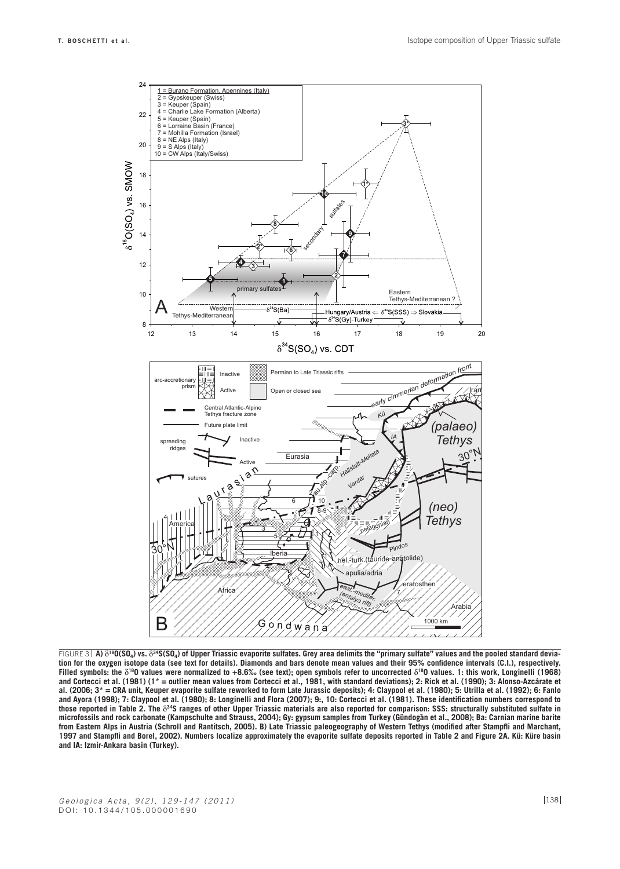

**A)** δ**18O(SO4) vs.** δ**34S(SO4) of Upper Triassic evaporite sulfates. Grey area delimits the "primary sulfate" values and the pooled standard devia-**FIGURE 3**tion for the oxygen isotope data (see text for details). Diamonds and bars denote mean values and their 95% confidence intervals (C.I.), respectively. Filled symbols: the** δ**18O values were normalized to +8.6‰ (see text); open symbols refer to uncorrected** δ**18O values. 1: this work, Longinelli (1968) and Cortecci et al. (1981) (1\* = outlier mean values from Cortecci et al., 1981, with standard deviations); 2: Rick et al. (1990); 3: Alonso-Azcárate et al. (2006; 3\* = CRA unit, Keuper evaporite sulfate reworked to form Late Jurassic deposits); 4: Claypool et al. (1980); 5: Utrilla et al. (1992); 6: Fanlo and Ayora (1998); 7: Claypool et al. (1980); 8: Longinelli and Flora (2007); 9:, 10: Cortecci et al. (1981). These identification numbers correspond to those reported in Table 2. The** δ**34S ranges of other Upper Triassic materials are also reported for comparison: SSS: structurally substituted sulfate in**  microfossils and rock carbonate (Kampschulte and Strauss, 2004); Gy: gypsum samples from Turkey (Gündogǎn et al., 2008); Ba: Carnian marine barite **from Eastern Alps in Austria (Schroll and Rantitsch, 2005). B) Late Triassic paleogeography of Western Tethys (modified after Stampfli and Marchant, 1997 and Stampfli and Borel, 2002). Numbers localize approximately the evaporite sulfate deposits reported in Table 2 and Figure 2A. Kü: Küre basin and IA: Izmir-Ankara basin (Turkey).**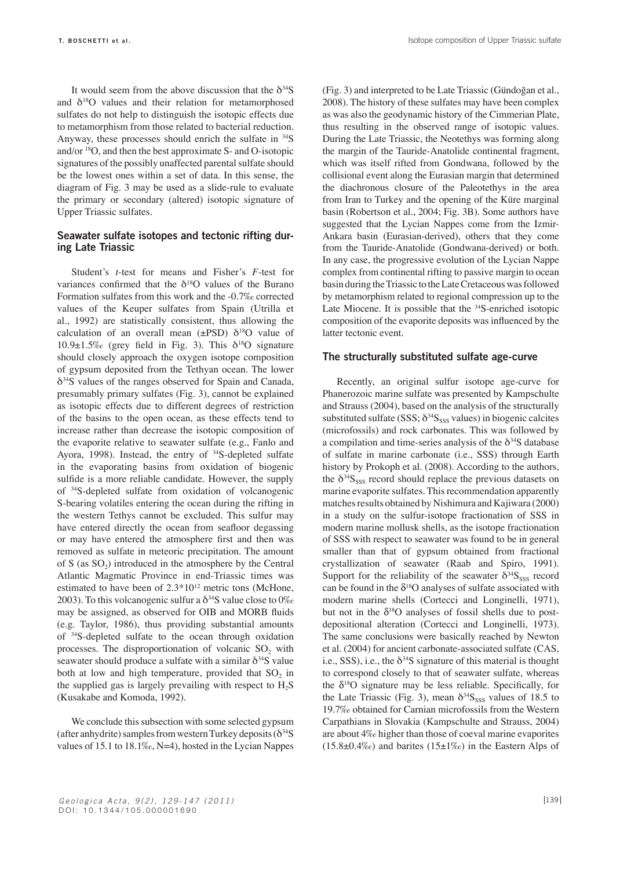It would seem from the above discussion that the  $\delta^{34}S$ and  $\delta^{18}$ O values and their relation for metamorphosed sulfates do not help to distinguish the isotopic effects due to metamorphism from those related to bacterial reduction. Anyway, these processes should enrich the sulfate in  $34S$ and/or 18O, and then the best approximate S- and O-isotopic signatures of the possibly unaffected parental sulfate should be the lowest ones within a set of data. In this sense, the diagram of Fig. 3 may be used as a slide-rule to evaluate the primary or secondary (altered) isotopic signature of Upper Triassic sulfates.

# **Seawater sulfate isotopes and tectonic rifting during Late Triassic**

Student's *t*-test for means and Fisher's *F*-test for variances confirmed that the  $\delta^{18}O$  values of the Burano Formation sulfates from this work and the -0.7‰ corrected values of the Keuper sulfates from Spain (Utrilla et al., 1992) are statistically consistent, thus allowing the calculation of an overall mean ( $\pm$ PSD)  $\delta$ <sup>18</sup>O value of 10.9 $\pm$ 1.5‰ (grey field in Fig. 3). This  $\delta^{18}O$  signature should closely approach the oxygen isotope composition of gypsum deposited from the Tethyan ocean. The lower  $\delta^{34}$ S values of the ranges observed for Spain and Canada, presumably primary sulfates (Fig. 3), cannot be explained as isotopic effects due to different degrees of restriction of the basins to the open ocean, as these effects tend to increase rather than decrease the isotopic composition of the evaporite relative to seawater sulfate (e.g., Fanlo and Ayora, 1998). Instead, the entry of <sup>34</sup>S-depleted sulfate in the evaporating basins from oxidation of biogenic sulfide is a more reliable candidate. However, the supply of 34S-depleted sulfate from oxidation of volcanogenic S-bearing volatiles entering the ocean during the rifting in the western Tethys cannot be excluded. This sulfur may have entered directly the ocean from seafloor degassing or may have entered the atmosphere first and then was removed as sulfate in meteoric precipitation. The amount of S (as  $SO_2$ ) introduced in the atmosphere by the Central Atlantic Magmatic Province in end-Triassic times was estimated to have been of  $2.3*10^{12}$  metric tons (McHone, 2003). To this volcanogenic sulfur a  $\delta^{34}S$  value close to  $0\%$ may be assigned, as observed for OIB and MORB fluids (e.g. Taylor, 1986), thus providing substantial amounts of 34S-depleted sulfate to the ocean through oxidation processes. The disproportionation of volcanic  $SO_2$  with seawater should produce a sulfate with a similar  $\delta^{34}S$  value both at low and high temperature, provided that  $SO_2$  in the supplied gas is largely prevailing with respect to  $H_2S$ (Kusakabe and Komoda, 1992).

We conclude this subsection with some selected gypsum (after anhydrite) samples from western Turkey deposits  $(\delta^{34}S)$ values of 15.1 to 18.1‰, N=4), hosted in the Lycian Nappes (Fig. 3) and interpreted to be Late Triassic (Gündoğan et al., 2008). The history of these sulfates may have been complex as was also the geodynamic history of the Cimmerian Plate, thus resulting in the observed range of isotopic values. During the Late Triassic, the Neotethys was forming along the margin of the Tauride-Anatolide continental fragment, which was itself rifted from Gondwana, followed by the collisional event along the Eurasian margin that determined the diachronous closure of the Paleotethys in the area from Iran to Turkey and the opening of the Küre marginal basin (Robertson et al., 2004; Fig. 3B). Some authors have suggested that the Lycian Nappes come from the Izmir-Ankara basin (Eurasian-derived), others that they come from the Tauride-Anatolide (Gondwana-derived) or both. In any case, the progressive evolution of the Lycian Nappe complex from continental rifting to passive margin to ocean basin during the Triassic to the Late Cretaceous was followed by metamorphism related to regional compression up to the Late Miocene. It is possible that the <sup>34</sup>S-enriched isotopic composition of the evaporite deposits was influenced by the latter tectonic event.

#### **The structurally substituted sulfate age-curve**

Recently, an original sulfur isotope age-curve for Phanerozoic marine sulfate was presented by Kampschulte and Strauss (2004), based on the analysis of the structurally substituted sulfate (SSS;  $\delta^{34}S_{SS}$  values) in biogenic calcites (microfossils) and rock carbonates. This was followed by a compilation and time-series analysis of the  $\delta^{34}S$  database of sulfate in marine carbonate (i.e., SSS) through Earth history by Prokoph et al. (2008). According to the authors, the  $\delta^{34}S_{SSS}$  record should replace the previous datasets on marine evaporite sulfates. This recommendation apparently matches results obtained by Nishimura and Kajiwara (2000) in a study on the sulfur-isotope fractionation of SSS in modern marine mollusk shells, as the isotope fractionation of SSS with respect to seawater was found to be in general smaller than that of gypsum obtained from fractional crystallization of seawater (Raab and Spiro, 1991). Support for the reliability of the seawater  $\delta^{34}S_{SSS}$  record can be found in the  $\delta^{18}O$  analyses of sulfate associated with modern marine shells (Cortecci and Longinelli, 1971), but not in the  $\delta^{18}$ O analyses of fossil shells due to postdepositional alteration (Cortecci and Longinelli, 1973). The same conclusions were basically reached by Newton et al. (2004) for ancient carbonate-associated sulfate (CAS, i.e., SSS), i.e., the  $\delta^{34}S$  signature of this material is thought to correspond closely to that of seawater sulfate, whereas the  $\delta^{18}$ O signature may be less reliable. Specifically, for the Late Triassic (Fig. 3), mean  $\delta^{34}S_{SSS}$  values of 18.5 to 19.7‰ obtained for Carnian microfossils from the Western Carpathians in Slovakia (Kampschulte and Strauss, 2004) are about 4‰ higher than those of coeval marine evaporites  $(15.8\pm0.4\%)$  and barites  $(15\pm1\%)$  in the Eastern Alps of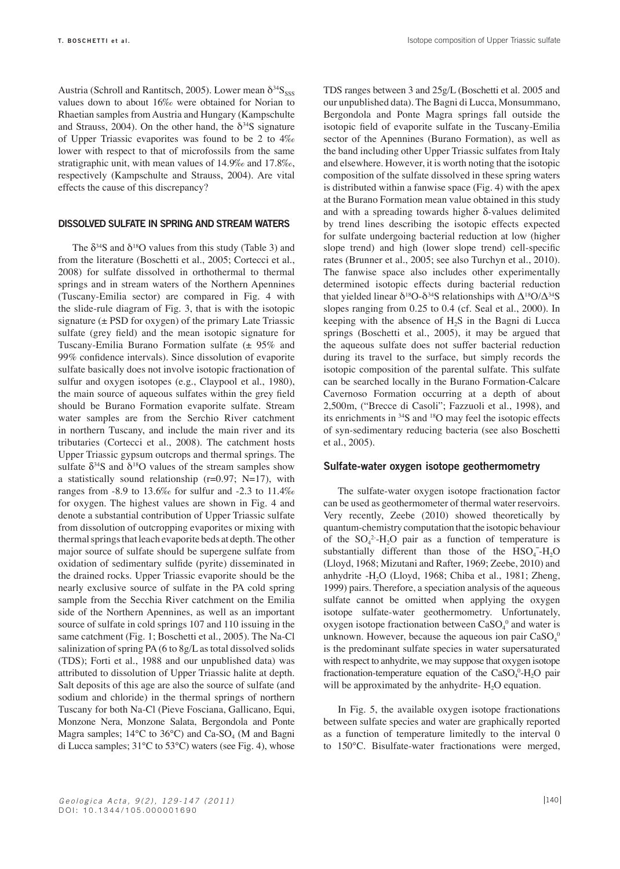Austria (Schroll and Rantitsch, 2005). Lower mean  $\delta^{34}S_{SSS}$ values down to about 16‰ were obtained for Norian to Rhaetian samples from Austria and Hungary (Kampschulte and Strauss, 2004). On the other hand, the  $\delta^{34}S$  signature of Upper Triassic evaporites was found to be 2 to 4‰ lower with respect to that of microfossils from the same stratigraphic unit, with mean values of 14.9‰ and 17.8‰, respectively (Kampschulte and Strauss, 2004). Are vital effects the cause of this discrepancy?

#### **Dissolved sulfate in spring and stream waters**

The  $\delta^{34}S$  and  $\delta^{18}O$  values from this study (Table 3) and from the literature (Boschetti et al., 2005; Cortecci et al., 2008) for sulfate dissolved in orthothermal to thermal springs and in stream waters of the Northern Apennines (Tuscany-Emilia sector) are compared in Fig. 4 with the slide-rule diagram of Fig. 3, that is with the isotopic signature  $(\pm$  PSD for oxygen) of the primary Late Triassic sulfate (grey field) and the mean isotopic signature for Tuscany-Emilia Burano Formation sulfate (± 95% and 99% confidence intervals). Since dissolution of evaporite sulfate basically does not involve isotopic fractionation of sulfur and oxygen isotopes (e.g., Claypool et al., 1980), the main source of aqueous sulfates within the grey field should be Burano Formation evaporite sulfate. Stream water samples are from the Serchio River catchment in northern Tuscany, and include the main river and its tributaries (Cortecci et al., 2008). The catchment hosts Upper Triassic gypsum outcrops and thermal springs. The sulfate  $\delta^{34}S$  and  $\delta^{18}O$  values of the stream samples show a statistically sound relationship ( $r=0.97$ ; N=17), with ranges from -8.9 to 13.6‰ for sulfur and -2.3 to 11.4‰ for oxygen. The highest values are shown in Fig. 4 and denote a substantial contribution of Upper Triassic sulfate from dissolution of outcropping evaporites or mixing with thermal springs that leach evaporite beds at depth. The other major source of sulfate should be supergene sulfate from oxidation of sedimentary sulfide (pyrite) disseminated in the drained rocks. Upper Triassic evaporite should be the nearly exclusive source of sulfate in the PA cold spring sample from the Secchia River catchment on the Emilia side of the Northern Apennines, as well as an important source of sulfate in cold springs 107 and 110 issuing in the same catchment (Fig. 1; Boschetti et al., 2005). The Na-Cl salinization of spring PA (6 to 8g/L as total dissolved solids (TDS); Forti et al., 1988 and our unpublished data) was attributed to dissolution of Upper Triassic halite at depth. Salt deposits of this age are also the source of sulfate (and sodium and chloride) in the thermal springs of northern Tuscany for both Na-Cl (Pieve Fosciana, Gallicano, Equi, Monzone Nera, Monzone Salata, Bergondola and Ponte Magra samples;  $14^{\circ}$ C to  $36^{\circ}$ C) and Ca-SO<sub>4</sub> (M and Bagni di Lucca samples; 31°C to 53°C) waters (see Fig. 4), whose

TDS ranges between 3 and 25g/L (Boschetti et al. 2005 and our unpublished data). The Bagni di Lucca, Monsummano, Bergondola and Ponte Magra springs fall outside the isotopic field of evaporite sulfate in the Tuscany-Emilia sector of the Apennines (Burano Formation), as well as the band including other Upper Triassic sulfates from Italy and elsewhere. However, it is worth noting that the isotopic composition of the sulfate dissolved in these spring waters is distributed within a fanwise space (Fig. 4) with the apex at the Burano Formation mean value obtained in this study and with a spreading towards higher δ-values delimited by trend lines describing the isotopic effects expected for sulfate undergoing bacterial reduction at low (higher slope trend) and high (lower slope trend) cell-specific rates (Brunner et al., 2005; see also Turchyn et al., 2010). The fanwise space also includes other experimentally determined isotopic effects during bacterial reduction that yielded linear  $\delta^{18}O-\delta^{34}S$  relationships with  $\Delta^{18}O/\Delta^{34}S$ slopes ranging from 0.25 to 0.4 (cf. Seal et al., 2000). In keeping with the absence of  $H<sub>2</sub>S$  in the Bagni di Lucca springs (Boschetti et al., 2005), it may be argued that the aqueous sulfate does not suffer bacterial reduction during its travel to the surface, but simply records the isotopic composition of the parental sulfate. This sulfate can be searched locally in the Burano Formation-Calcare Cavernoso Formation occurring at a depth of about 2,500m, ("Brecce di Casoli"; Fazzuoli et al., 1998), and its enrichments in 34S and 18O may feel the isotopic effects of syn-sedimentary reducing bacteria (see also Boschetti et al., 2005).

# **Sulfate-water oxygen isotope geothermometry**

The sulfate-water oxygen isotope fractionation factor can be used as geothermometer of thermal water reservoirs. Very recently, Zeebe (2010) showed theoretically by quantum-chemistry computation that the isotopic behaviour of the  $SO_4^2$ -H<sub>2</sub>O pair as a function of temperature is substantially different than those of the  $HSO_4^-$ - $H_2O$ (Lloyd, 1968; Mizutani and Rafter, 1969; Zeebe, 2010) and anhydrite -H<sub>2</sub>O (Lloyd, 1968; Chiba et al., 1981; Zheng, 1999) pairs. Therefore, a speciation analysis of the aqueous sulfate cannot be omitted when applying the oxygen isotope sulfate-water geothermometry. Unfortunately, oxygen isotope fractionation between  $CaSO<sub>4</sub><sup>0</sup>$  and water is unknown. However, because the aqueous ion pair  $CaSO<sub>4</sub><sup>0</sup>$ is the predominant sulfate species in water supersaturated with respect to anhydrite, we may suppose that oxygen isotope fractionation-temperature equation of the  $CaSO_4^0$ -H<sub>2</sub>O pair will be approximated by the anhydrite-  $H_2O$  equation.

In Fig. 5, the available oxygen isotope fractionations between sulfate species and water are graphically reported as a function of temperature limitedly to the interval 0 to 150°C. Bisulfate-water fractionations were merged,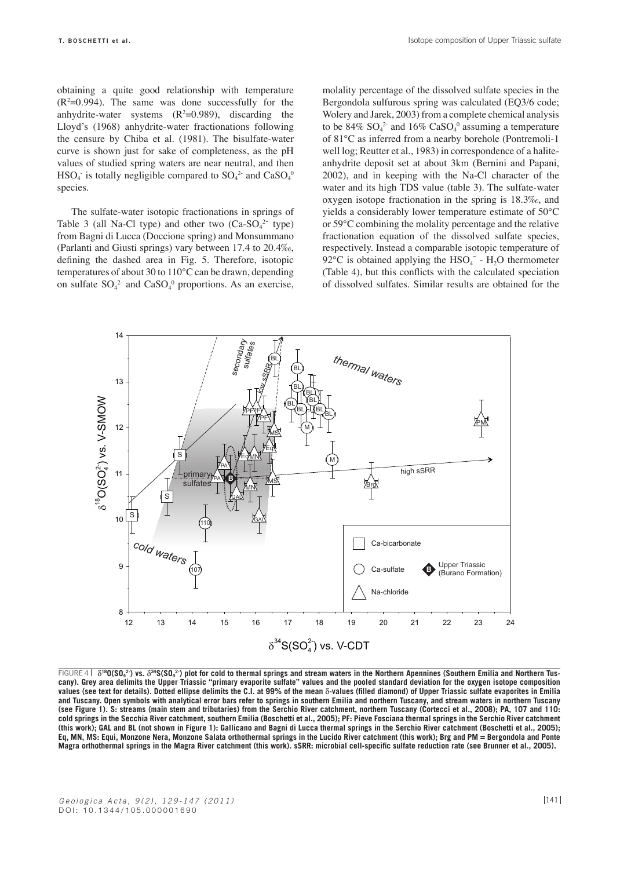obtaining a quite good relationship with temperature  $(R<sup>2</sup>=0.994)$ . The same was done successfully for the anhydrite-water systems  $(R^2=0.989)$ , discarding the Lloyd's (1968) anhydrite-water fractionations following the censure by Chiba et al. (1981). The bisulfate-water curve is shown just for sake of completeness, as the pH values of studied spring waters are near neutral, and then  $HSO_4$  is totally negligible compared to  $SO_4^2$  and  $CaSO_4^0$ species.

The sulfate-water isotopic fractionations in springs of Table 3 (all Na-Cl type) and other two  $(Ca-SO<sub>4</sub><sup>2-</sup>$  type) from Bagni di Lucca (Doccione spring) and Monsummano (Parlanti and Giusti springs) vary between 17.4 to 20.4‰, defining the dashed area in Fig. 5. Therefore, isotopic temperatures of about 30 to 110°C can be drawn, depending on sulfate  $SO_4^2$  and  $CaSO_4^0$  proportions. As an exercise, molality percentage of the dissolved sulfate species in the Bergondola sulfurous spring was calculated (EQ3/6 code; Wolery and Jarek, 2003) from a complete chemical analysis to be  $84\%$  SO<sub>4</sub><sup>2</sup> and  $16\%$  CaSO<sub>4</sub><sup>0</sup> assuming a temperature of 81°C as inferred from a nearby borehole (Pontremoli-1 well log; Reutter et al., 1983) in correspondence of a haliteanhydrite deposit set at about 3km (Bernini and Papani, 2002), and in keeping with the Na-Cl character of the water and its high TDS value (table 3). The sulfate-water oxygen isotope fractionation in the spring is 18.3‰, and yields a considerably lower temperature estimate of 50°C or 59°C combining the molality percentage and the relative fractionation equation of the dissolved sulfate species, respectively. Instead a comparable isotopic temperature of  $92^{\circ}$ C is obtained applying the HSO<sub>4</sub><sup>-</sup> - H<sub>2</sub>O thermometer (Table 4), but this conflicts with the calculated speciation of dissolved sulfates. Similar results are obtained for the



FIGURE 4 | δ<sup>18</sup>0(SO<sub>4</sub><sup>2</sup>) vs. δ<sup>34</sup>S(SO<sub>4</sub><sup>2</sup>) plot for cold to thermal springs and stream waters in the Northern Apennines (Southern Emilia and Northern Tus**cany). Grey area delimits the Upper Triassic "primary evaporite sulfate" values and the pooled standard deviation for the oxygen isotope composition values (see text for details). Dotted ellipse delimits the C.I. at 99% of the mean** δ**-values (filled diamond) of Upper Triassic sulfate evaporites in Emilia and Tuscany. Open symbols with analytical error bars refer to springs in southern Emilia and northern Tuscany, and stream waters in northern Tuscany (see Figure 1). S: streams (main stem and tributaries) from the Serchio River catchment, northern Tuscany (Cortecci et al., 2008); PA, 107 and 110: cold springs in the Secchia River catchment, southern Emilia (Boschetti et al., 2005); PF: Pieve Fosciana thermal springs in the Serchio River catchment (this work); GAL and BL (not shown in Figure 1): Gallicano and Bagni di Lucca thermal springs in the Serchio River catchment (Boschetti et al., 2005); Eq, MN, MS: Equi, Monzone Nera, Monzone Salata orthothermal springs in the Lucido River catchment (this work); Brg and PM = Bergondola and Ponte Magra orthothermal springs in the Magra River catchment (this work). sSRR: microbial cell-specific sulfate reduction rate (see Brunner et al., 2005).**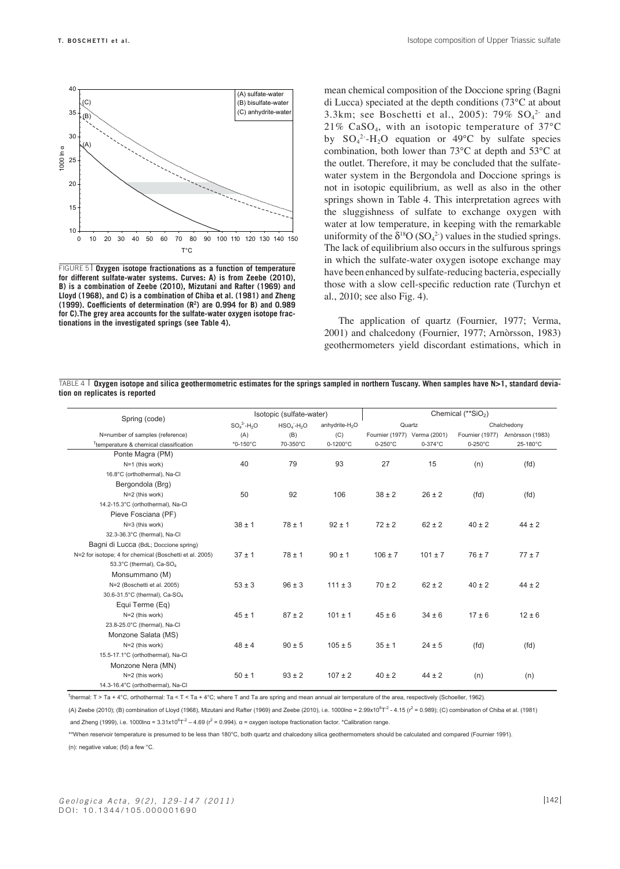

FIGURE 5 | Oxygen isotope fractionations as a function of temperature **for different sulfate-water systems. Curves: A) is from Zeebe (2010), B) is a combination of Zeebe (2010), Mizutani and Rafter (1969) and Lloyd (1968), and C) is a combination of Chiba et al. (1981) and Zheng (1999). Coefficients of determination (R2) are 0.994 for B) and 0.989 for C).The grey area accounts for the sulfate-water oxygen isotope fractionations in the investigated springs (see Table 4).**

mean chemical composition of the Doccione spring (Bagni di Lucca) speciated at the depth conditions (73°C at about 3.3km; see Boschetti et al., 2005):  $79\%$   $SO_4^2$  and 21%  $CaSO<sub>4</sub>$ , with an isotopic temperature of 37 $^{\circ}$ C by  $SO_4^2$ -H<sub>2</sub>O equation or 49°C by sulfate species combination, both lower than 73°C at depth and 53°C at the outlet. Therefore, it may be concluded that the sulfatewater system in the Bergondola and Doccione springs is not in isotopic equilibrium, as well as also in the other springs shown in Table 4. This interpretation agrees with the sluggishness of sulfate to exchange oxygen with water at low temperature, in keeping with the remarkable uniformity of the  $\delta^{18}O(SO_4^2)$  values in the studied springs. The lack of equilibrium also occurs in the sulfurous springs in which the sulfate-water oxygen isotope exchange may have been enhanced by sulfate-reducing bacteria, especially those with a slow cell-specific reduction rate (Turchyn et al., 2010; see also Fig. 4).

The application of quartz (Fournier, 1977; Verma, 2001) and chalcedony (Fournier, 1977; Arnòrsson, 1983) geothermometers yield discordant estimations, which in

**Oxygen isotope and silica geothermometric estimates for the springs sampled in northern Tuscany. When samples have N>1, standard devia-**TABLE 4**tion on replicates is reported**

| Spring (code)                                           |               | Isotopic (sulfate-water) |                            | Chemical (**SiO <sub>2</sub> ) |             |                   |                  |  |
|---------------------------------------------------------|---------------|--------------------------|----------------------------|--------------------------------|-------------|-------------------|------------------|--|
|                                                         | $SO_4^2-H_2O$ | $HSO4-H2O$               | anhydrite-H <sub>2</sub> O |                                | Quartz      | Chalchedony       |                  |  |
| N=number of samples (reference)                         | (A)           | (B)                      | (C)                        | Fournier (1977) Verma (2001)   |             | Fournier (1977)   | Arnòrsson (1983) |  |
| <sup>†</sup> temperature & chemical classification      | $*0 - 150$ °C | 70-350°C                 | $0 - 1200^{\circ}$ C       | $0-250^{\circ}$ C              | $0-374$ °C  | $0-250^{\circ}$ C | 25-180°C         |  |
| Ponte Magra (PM)                                        |               |                          |                            |                                |             |                   |                  |  |
| N=1 (this work)                                         | 40            | 79                       | 93                         | 27                             | 15          | (n)               | (fd)             |  |
| 16.8°C (orthothermal), Na-Cl                            |               |                          |                            |                                |             |                   |                  |  |
| Bergondola (Brg)                                        |               |                          |                            |                                |             |                   |                  |  |
| N=2 (this work)                                         | 50            | 92                       | 106                        | $38 \pm 2$                     | $26 \pm 2$  | (fd)              | (fd)             |  |
| 14.2-15.3°C (orthothermal), Na-Cl                       |               |                          |                            |                                |             |                   |                  |  |
| Pieve Fosciana (PF)                                     |               |                          |                            |                                |             |                   |                  |  |
| N=3 (this work)                                         | $38 \pm 1$    | $78 \pm 1$               | $92 \pm 1$                 | $72 \pm 2$                     | $62 \pm 2$  | $40 \pm 2$        | $44 \pm 2$       |  |
| 32.3-36.3°C (thermal), Na-Cl                            |               |                          |                            |                                |             |                   |                  |  |
| Bagni di Lucca (BdL; Doccione spring)                   |               |                          |                            |                                |             |                   |                  |  |
| N=2 for isotope; 4 for chemical (Boschetti et al. 2005) | $37 \pm 1$    | $78 \pm 1$               | $90 \pm 1$                 | $106 \pm 7$                    | $101 \pm 7$ | $76 \pm 7$        | $77 \pm 7$       |  |
| 53.3°C (thermal), Ca-SO <sub>4</sub>                    |               |                          |                            |                                |             |                   |                  |  |
| Monsummano (M)                                          |               |                          |                            |                                |             |                   |                  |  |
| N=2 (Boschetti et al. 2005)                             | $53 \pm 3$    | $96 \pm 3$               | $111 \pm 3$                | $70 \pm 2$                     | $62 \pm 2$  | $40 \pm 2$        | $44 \pm 2$       |  |
| 30.6-31.5°C (thermal), Ca-SO <sub>4</sub>               |               |                          |                            |                                |             |                   |                  |  |
| Equi Terme (Eq)                                         |               |                          |                            |                                |             |                   |                  |  |
| N=2 (this work)                                         | $45 \pm 1$    | $87 \pm 2$               | $101 \pm 1$                | $45 \pm 6$                     | $34 \pm 6$  | $17 \pm 6$        | $12 \pm 6$       |  |
| 23.8-25.0°C (thermal), Na-Cl                            |               |                          |                            |                                |             |                   |                  |  |
| Monzone Salata (MS)                                     |               |                          |                            |                                |             |                   |                  |  |
| N=2 (this work)                                         | $48 \pm 4$    | $90 \pm 5$               | $105 \pm 5$                | $35 \pm 1$                     | $24 \pm 5$  | (fd)              | (fd)             |  |
| 15.5-17.1°C (orthothermal), Na-Cl                       |               |                          |                            |                                |             |                   |                  |  |
| Monzone Nera (MN)                                       |               |                          |                            |                                |             |                   |                  |  |
| N=2 (this work)                                         | $50 \pm 1$    | $93 \pm 2$               | $107 \pm 2$                | $40 \pm 2$                     | $44 \pm 2$  | (n)               | (n)              |  |
| 14.3-16.4°C (orthothermal), Na-Cl                       |               |                          |                            |                                |             |                   |                  |  |

† thermal: T > Ta + 4°C, orthothermal: Ta < T < Ta + 4°C; where T and Ta are spring and mean annual air temperature of the area, respectively (Schoeller, 1962).

(A) Zeebe (2010); (B) combination of Lloyd (1968), Mizutani and Rafter (1969) and Zeebe (2010), i.e. 1000lnα = 2.99x10<sup>6</sup>T<sup>2</sup> - 4.15 (r<sup>2</sup> = 0.989); (C) combination of Chiba et al. (1981)

and Zheng (1999), i.e. 1000lnα = 3.31x10<sup>6</sup>T<sup>2</sup> – 4.69 ( $r^2$  = 0.994). α = oxygen isotope fractionation factor. \*Calibration range.

\*\*When reservoir temperature is presumed to be less than 180°C, both quartz and chalcedony silica geothermometers should be calculated and compared (Fournier 1991). (n): negative value; (fd) a few °C.

*Geologica Acta, 9(2), 129-147 (2011)* DOI: 10.1344/105.000001690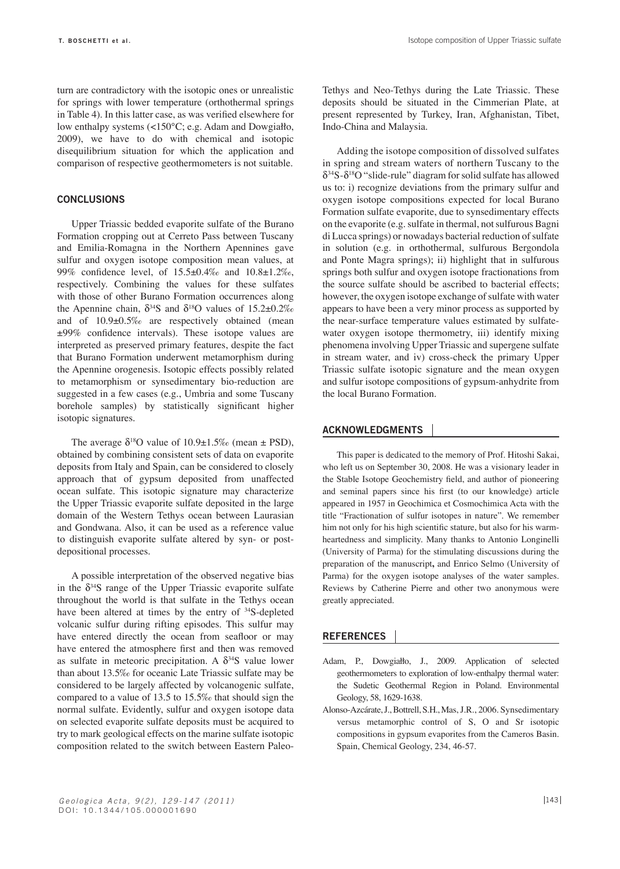turn are contradictory with the isotopic ones or unrealistic for springs with lower temperature (orthothermal springs in Table 4). In this latter case, as was verified elsewhere for low enthalpy systems (<150°C; e.g. Adam and Dowgiałło, 2009), we have to do with chemical and isotopic disequilibrium situation for which the application and comparison of respective geothermometers is not suitable.

#### **Conclusions**

Upper Triassic bedded evaporite sulfate of the Burano Formation cropping out at Cerreto Pass between Tuscany and Emilia-Romagna in the Northern Apennines gave sulfur and oxygen isotope composition mean values, at 99% confidence level, of 15.5±0.4‰ and 10.8±1.2‰, respectively. Combining the values for these sulfates with those of other Burano Formation occurrences along the Apennine chain,  $\delta^{34}S$  and  $\delta^{18}O$  values of 15.2±0.2‰ and of 10.9±0.5‰ are respectively obtained (mean ±99% confidence intervals). These isotope values are interpreted as preserved primary features, despite the fact that Burano Formation underwent metamorphism during the Apennine orogenesis. Isotopic effects possibly related to metamorphism or synsedimentary bio-reduction are suggested in a few cases (e.g., Umbria and some Tuscany borehole samples) by statistically significant higher isotopic signatures.

The average  $\delta^{18}O$  value of  $10.9\pm1.5\%$  (mean  $\pm$  PSD), obtained by combining consistent sets of data on evaporite deposits from Italy and Spain, can be considered to closely approach that of gypsum deposited from unaffected ocean sulfate. This isotopic signature may characterize the Upper Triassic evaporite sulfate deposited in the large domain of the Western Tethys ocean between Laurasian and Gondwana. Also, it can be used as a reference value to distinguish evaporite sulfate altered by syn- or postdepositional processes.

A possible interpretation of the observed negative bias in the  $\delta^{34}S$  range of the Upper Triassic evaporite sulfate throughout the world is that sulfate in the Tethys ocean have been altered at times by the entry of <sup>34</sup>S-depleted volcanic sulfur during rifting episodes. This sulfur may have entered directly the ocean from seafloor or may have entered the atmosphere first and then was removed as sulfate in meteoric precipitation. A  $\delta^{34}S$  value lower than about 13.5‰ for oceanic Late Triassic sulfate may be considered to be largely affected by volcanogenic sulfate, compared to a value of 13.5 to 15.5‰ that should sign the normal sulfate. Evidently, sulfur and oxygen isotope data on selected evaporite sulfate deposits must be acquired to try to mark geological effects on the marine sulfate isotopic composition related to the switch between Eastern PaleoTethys and Neo-Tethys during the Late Triassic. These deposits should be situated in the Cimmerian Plate, at present represented by Turkey, Iran, Afghanistan, Tibet, Indo-China and Malaysia.

Adding the isotope composition of dissolved sulfates in spring and stream waters of northern Tuscany to the  $\delta^{34}S-\delta^{18}O$  "slide-rule" diagram for solid sulfate has allowed us to: i) recognize deviations from the primary sulfur and oxygen isotope compositions expected for local Burano Formation sulfate evaporite, due to synsedimentary effects on the evaporite (e.g. sulfate in thermal, not sulfurous Bagni di Lucca springs) or nowadays bacterial reduction of sulfate in solution (e.g. in orthothermal, sulfurous Bergondola and Ponte Magra springs); ii) highlight that in sulfurous springs both sulfur and oxygen isotope fractionations from the source sulfate should be ascribed to bacterial effects; however, the oxygen isotope exchange of sulfate with water appears to have been a very minor process as supported by the near-surface temperature values estimated by sulfatewater oxygen isotope thermometry, iii) identify mixing phenomena involving Upper Triassic and supergene sulfate in stream water, and iv) cross-check the primary Upper Triassic sulfate isotopic signature and the mean oxygen and sulfur isotope compositions of gypsum-anhydrite from the local Burano Formation.

#### **ACKNOWLEDGMENTS**

This paper is dedicated to the memory of Prof. Hitoshi Sakai, who left us on September 30, 2008. He was a visionary leader in the Stable Isotope Geochemistry field, and author of pioneering and seminal papers since his first (to our knowledge) article appeared in 1957 in Geochimica et Cosmochimica Acta with the title "Fractionation of sulfur isotopes in nature". We remember him not only for his high scientific stature, but also for his warmheartedness and simplicity. Many thanks to Antonio Longinelli (University of Parma) for the stimulating discussions during the preparation of the manuscript**,** and Enrico Selmo (University of Parma) for the oxygen isotope analyses of the water samples. Reviews by Catherine Pierre and other two anonymous were greatly appreciated.

#### **REFERENCES**

- Adam, P., Dowgiałło, J., 2009. Application of selected geothermometers to exploration of low-enthalpy thermal water: the Sudetic Geothermal Region in Poland. Environmental Geology, 58, 1629-1638.
- Alonso-Azcárate, J., Bottrell, S.H., Mas, J.R., 2006. Synsedimentary versus metamorphic control of S, O and Sr isotopic compositions in gypsum evaporites from the Cameros Basin. Spain, Chemical Geology, 234, 46-57.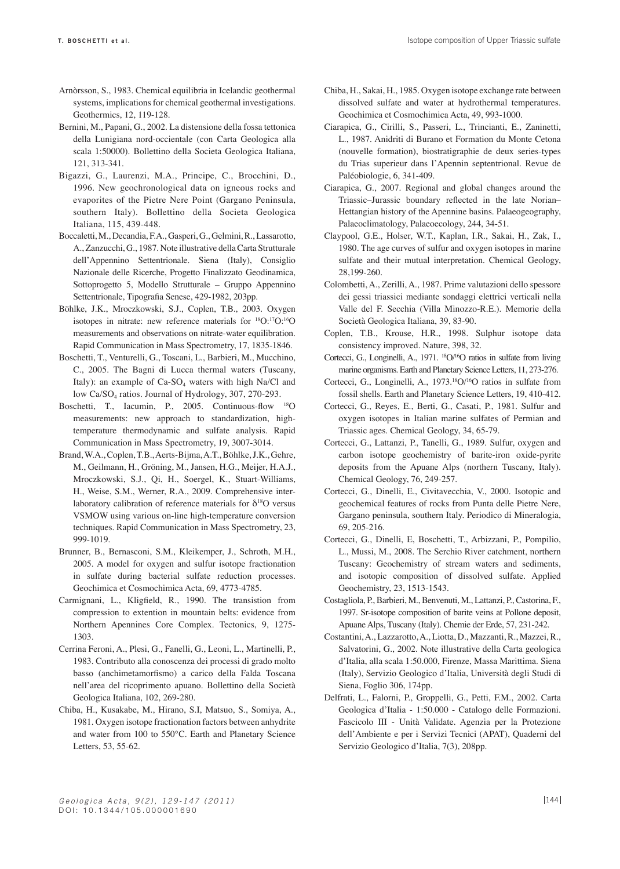- Arnòrsson, S., 1983. Chemical equilibria in Icelandic geothermal systems, implications for chemical geothermal investigations. Geothermics, 12, 119-128.
- Bernini, M., Papani, G., 2002. La distensione della fossa tettonica della Lunigiana nord-occientale (con Carta Geologica alla scala 1:50000). Bollettino della Societa Geologica Italiana, 121, 313-341.
- Bigazzi, G., Laurenzi, M.A., Principe, C., Brocchini, D., 1996. New geochronological data on igneous rocks and evaporites of the Pietre Nere Point (Gargano Peninsula, southern Italy). Bollettino della Societa Geologica Italiana, 115, 439-448.
- Boccaletti, M., Decandia, F.A., Gasperi, G., Gelmini, R., Lassarotto, A., Zanzucchi, G., 1987. Note illustrative della Carta Strutturale dell'Appennino Settentrionale. Siena (Italy), Consiglio Nazionale delle Ricerche, Progetto Finalizzato Geodinamica, Sottoprogetto 5, Modello Strutturale – Gruppo Appennino Settentrionale, Tipografia Senese, 429-1982, 203pp.
- Böhlke, J.K., Mroczkowski, S.J., Coplen, T.B., 2003. Oxygen isotopes in nitrate: new reference materials for 18O:17O:16O measurements and observations on nitrate-water equilibration. Rapid Communication in Mass Spectrometry, 17, 1835-1846.
- Boschetti, T., Venturelli, G., Toscani, L., Barbieri, M., Mucchino, C., 2005. The Bagni di Lucca thermal waters (Tuscany, Italy): an example of  $Ca-SO<sub>4</sub>$  waters with high Na/Cl and low Ca/SO<sub>4</sub> ratios. Journal of Hydrology, 307, 270-293.
- Boschetti, T., Iacumin, P., 2005. Continuous-flow 18O measurements: new approach to standardization, hightemperature thermodynamic and sulfate analysis. Rapid Communication in Mass Spectrometry, 19, 3007-3014.
- Brand, W.A., Coplen, T.B., Aerts-Bijma, A.T., Böhlke, J.K., Gehre, M., Geilmann, H., Gröning, M., Jansen, H.G., Meijer, H.A.J., Mroczkowski, S.J., Qi, H., Soergel, K., Stuart-Williams, H., Weise, S.M., Werner, R.A., 2009. Comprehensive interlaboratory calibration of reference materials for  $\delta^{18}O$  versus VSMOW using various on-line high-temperature conversion techniques. Rapid Communication in Mass Spectrometry, 23, 999-1019.
- Brunner, B., Bernasconi, S.M., Kleikemper, J., Schroth, M.H., 2005. A model for oxygen and sulfur isotope fractionation in sulfate during bacterial sulfate reduction processes. Geochimica et Cosmochimica Acta, 69, 4773-4785.
- Carmignani, L., Kligfield, R., 1990. The transistion from compression to extention in mountain belts: evidence from Northern Apennines Core Complex. Tectonics, 9, 1275- 1303.
- Cerrina Feroni, A., Plesi, G., Fanelli, G., Leoni, L., Martinelli, P., 1983. Contributo alla conoscenza dei processi di grado molto basso (anchimetamorfismo) a carico della Falda Toscana nell'area del ricoprimento apuano. Bollettino della Società Geologica Italiana, 102, 269-280.
- Chiba, H., Kusakabe, M., Hirano, S.I, Matsuo, S., Somiya, A., 1981. Oxygen isotope fractionation factors between anhydrite and water from 100 to 550°C. Earth and Planetary Science Letters, 53, 55-62.
- Chiba, H., Sakai, H., 1985. Oxygen isotope exchange rate between dissolved sulfate and water at hydrothermal temperatures. Geochimica et Cosmochimica Acta, 49, 993-1000.
- Ciarapica, G., Cirilli, S., Passeri, L., Trincianti, E., Zaninetti, L., 1987. Anidriti di Burano et Formation du Monte Cetona (nouvelle formation), biostratigraphie de deux series-types du Trias superieur dans l'Apennin septentrional. Revue de Paléobiologie, 6, 341-409.
- Ciarapica, G., 2007. Regional and global changes around the Triassic–Jurassic boundary reflected in the late Norian– Hettangian history of the Apennine basins. Palaeogeography, Palaeoclimatology, Palaeoecology, 244, 34-51.
- Claypool, G.E., Holser, W.T., Kaplan, I.R., Sakai, H., Zak, I., 1980. The age curves of sulfur and oxygen isotopes in marine sulfate and their mutual interpretation. Chemical Geology, 28,199-260.
- Colombetti, A., Zerilli, A., 1987. Prime valutazioni dello spessore dei gessi triassici mediante sondaggi elettrici verticali nella Valle del F. Secchia (Villa Minozzo-R.E.). Memorie della Società Geologica Italiana, 39, 83-90.
- Coplen, T.B., Krouse, H.R., 1998. Sulphur isotope data consistency improved. Nature, 398, 32.
- Cortecci, G., Longinelli, A., 1971. <sup>18</sup>O/<sup>16</sup>O ratios in sulfate from living marine organisms. Earth and Planetary Science Letters, 11, 273-276.
- Cortecci, G., Longinelli, A., 1973.18O/16O ratios in sulfate from fossil shells. Earth and Planetary Science Letters, 19, 410-412.
- Cortecci, G., Reyes, E., Berti, G., Casati, P., 1981. Sulfur and oxygen isotopes in Italian marine sulfates of Permian and Triassic ages. Chemical Geology, 34, 65-79.
- Cortecci, G., Lattanzi, P., Tanelli, G., 1989. Sulfur, oxygen and carbon isotope geochemistry of barite-iron oxide-pyrite deposits from the Apuane Alps (northern Tuscany, Italy). Chemical Geology, 76, 249-257.
- Cortecci, G., Dinelli, E., Civitavecchia, V., 2000. Isotopic and geochemical features of rocks from Punta delle Pietre Nere, Gargano peninsula, southern Italy. Periodico di Mineralogia, 69, 205-216.
- Cortecci, G., Dinelli, E, Boschetti, T., Arbizzani, P., Pompilio, L., Mussi, M., 2008. The Serchio River catchment, northern Tuscany: Geochemistry of stream waters and sediments, and isotopic composition of dissolved sulfate. Applied Geochemistry, 23, 1513-1543.
- Costagliola, P., Barbieri, M., Benvenuti, M., Lattanzi, P., Castorina, F., 1997. Sr-isotope composition of barite veins at Pollone deposit, Apuane Alps, Tuscany (Italy). Chemie der Erde, 57, 231-242.
- Costantini, A., Lazzarotto, A., Liotta, D., Mazzanti, R., Mazzei, R., Salvatorini, G., 2002. Note illustrative della Carta geologica d'Italia, alla scala 1:50.000, Firenze, Massa Marittima. Siena (Italy), Servizio Geologico d'Italia, Università degli Studi di Siena, Foglio 306, 174pp.
- Delfrati, L., Falorni, P., Groppelli, G., Petti, F.M., 2002. Carta Geologica d'Italia - 1:50.000 - Catalogo delle Formazioni. Fascicolo III - Unità Validate. Agenzia per la Protezione dell'Ambiente e per i Servizi Tecnici (APAT), Quaderni del Servizio Geologico d'Italia, 7(3), 208pp.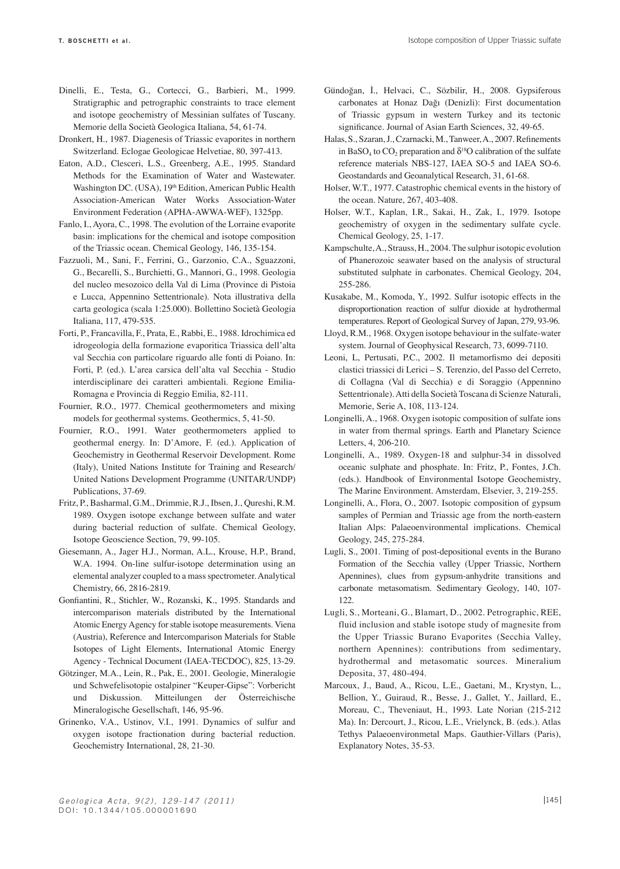- Dinelli, E., Testa, G., Cortecci, G., Barbieri, M., 1999. Stratigraphic and petrographic constraints to trace element and isotope geochemistry of Messinian sulfates of Tuscany. Memorie della Società Geologica Italiana, 54, 61-74.
- Dronkert, H., 1987. Diagenesis of Triassic evaporites in northern Switzerland. Eclogae Geologicae Helvetiae, 80, 397-413.
- Eaton, A.D., Clesceri, L.S., Greenberg, A.E., 1995. Standard Methods for the Examination of Water and Wastewater. Washington DC. (USA), 19th Edition, American Public Health Association-American Water Works Association-Water Environment Federation (APHA-AWWA-WEF), 1325pp.
- Fanlo, I., Ayora, C., 1998. The evolution of the Lorraine evaporite basin: implications for the chemical and isotope composition of the Triassic ocean. Chemical Geology, 146, 135-154.
- Fazzuoli, M., Sani, F., Ferrini, G., Garzonio, C.A., Sguazzoni, G., Becarelli, S., Burchietti, G., Mannori, G., 1998. Geologia del nucleo mesozoico della Val di Lima (Province di Pistoia e Lucca, Appennino Settentrionale). Nota illustrativa della carta geologica (scala 1:25.000). Bollettino Società Geologia Italiana, 117, 479-535.
- Forti, P., Francavilla, F., Prata, E., Rabbi, E., 1988. Idrochimica ed idrogeologia della formazione evaporitica Triassica dell'alta val Secchia con particolare riguardo alle fonti di Poiano. In: Forti, P. (ed.). L'area carsica dell'alta val Secchia - Studio interdisciplinare dei caratteri ambientali. Regione Emilia-Romagna e Provincia di Reggio Emilia, 82-111.
- Fournier, R.O., 1977. Chemical geothermometers and mixing models for geothermal systems. Geothermics, 5, 41-50.
- Fournier, R.O., 1991. Water geothermometers applied to geothermal energy. In: D'Amore, F. (ed.). Application of Geochemistry in Geothermal Reservoir Development. Rome (Italy), United Nations Institute for Training and Research/ United Nations Development Programme (UNITAR/UNDP) Publications, 37-69.
- Fritz, P., Basharmal, G.M., Drimmie, R.J., Ibsen, J., Qureshi, R.M. 1989. Oxygen isotope exchange between sulfate and water during bacterial reduction of sulfate. Chemical Geology, Isotope Geoscience Section, 79, 99-105.
- Giesemann, A., Jager H.J., Norman, A.L., Krouse, H.P., Brand, W.A. 1994. On-line sulfur-isotope determination using an elemental analyzer coupled to a mass spectrometer. Analytical Chemistry, 66, 2816-2819.
- Gonfiantini, R., Stichler, W., Rozanski, K., 1995. Standards and intercomparison materials distributed by the International Atomic Energy Agency for stable isotope measurements. Viena (Austria), Reference and Intercomparison Materials for Stable Isotopes of Light Elements, International Atomic Energy Agency - Technical Document (IAEA-TECDOC), 825, 13-29.
- Götzinger, M.A., Lein, R., Pak, E., 2001. Geologie, Mineralogie und Schwefelisotopie ostalpiner "Keuper-Gipse": Vorbericht und Diskussion. Mitteilungen der Österreichische Mineralogische Gesellschaft, 146, 95-96.
- Grinenko, V.A., Ustinov, V.I., 1991. Dynamics of sulfur and oxygen isotope fractionation during bacterial reduction. Geochemistry International, 28, 21-30.
- Gündoğan, İ., Helvaci, C., Sözbilir, H., 2008. Gypsiferous carbonates at Honaz Dağı (Denizli): First documentation of Triassic gypsum in western Turkey and its tectonic significance. Journal of Asian Earth Sciences, 32, 49-65.
- Halas, S., Szaran, J., Czarnacki, M., Tanweer, A., 2007. Refinements in BaSO<sub>4</sub> to CO<sub>2</sub> preparation and  $\delta^{18}$ O calibration of the sulfate reference materials NBS-127, IAEA SO-5 and IAEA SO-6. Geostandards and Geoanalytical Research, 31, 61-68.
- Holser, W.T., 1977. Catastrophic chemical events in the history of the ocean. Nature, 267, 403-408.
- Holser, W.T., Kaplan, I.R., Sakai, H., Zak, I., 1979. Isotope geochemistry of oxygen in the sedimentary sulfate cycle. Chemical Geology, 25, 1-17.
- Kampschulte, A., Strauss, H., 2004. The sulphur isotopic evolution of Phanerozoic seawater based on the analysis of structural substituted sulphate in carbonates. Chemical Geology, 204, 255-286.
- Kusakabe, M., Komoda, Y., 1992. Sulfur isotopic effects in the disproportionation reaction of sulfur dioxide at hydrothermal temperatures. Report of Geological Survey of Japan, 279, 93-96.
- Lloyd, R.M., 1968. Oxygen isotope behaviour in the sulfate-water system. Journal of Geophysical Research, 73, 6099-7110.
- Leoni, L, Pertusati, P.C., 2002. Il metamorfismo dei depositi clastici triassici di Lerici – S. Terenzio, del Passo del Cerreto, di Collagna (Val di Secchia) e di Soraggio (Appennino Settentrionale). Atti della Società Toscana di Scienze Naturali, Memorie, Serie A, 108, 113-124.
- Longinelli, A., 1968. Oxygen isotopic composition of sulfate ions in water from thermal springs. Earth and Planetary Science Letters, 4, 206-210.
- Longinelli, A., 1989. Oxygen-18 and sulphur-34 in dissolved oceanic sulphate and phosphate. In: Fritz, P., Fontes, J.Ch. (eds.). Handbook of Environmental Isotope Geochemistry, The Marine Environment. Amsterdam, Elsevier, 3, 219-255.
- Longinelli, A., Flora, O., 2007. Isotopic composition of gypsum samples of Permian and Triassic age from the north-eastern Italian Alps: Palaeoenvironmental implications. Chemical Geology, 245, 275-284.
- Lugli, S., 2001. Timing of post-depositional events in the Burano Formation of the Secchia valley (Upper Triassic, Northern Apennines), clues from gypsum-anhydrite transitions and carbonate metasomatism. Sedimentary Geology, 140, 107- 122.
- Lugli, S., Morteani, G., Blamart, D., 2002. Petrographic, REE, fluid inclusion and stable isotope study of magnesite from the Upper Triassic Burano Evaporites (Secchia Valley, northern Apennines): contributions from sedimentary, hydrothermal and metasomatic sources. Mineralium Deposita, 37, 480-494.
- Marcoux, J., Baud, A., Ricou, L.E., Gaetani, M., Krystyn, L., Bellion, Y., Guiraud, R., Besse, J., Gallet, Y., Jaillard, E., Moreau, C., Theveniaut, H., 1993. Late Norian (215-212 Ma). In: Dercourt, J., Ricou, L.E., Vrielynck, B. (eds.). Atlas Tethys Palaeoenvironmetal Maps. Gauthier-Villars (Paris), Explanatory Notes, 35-53.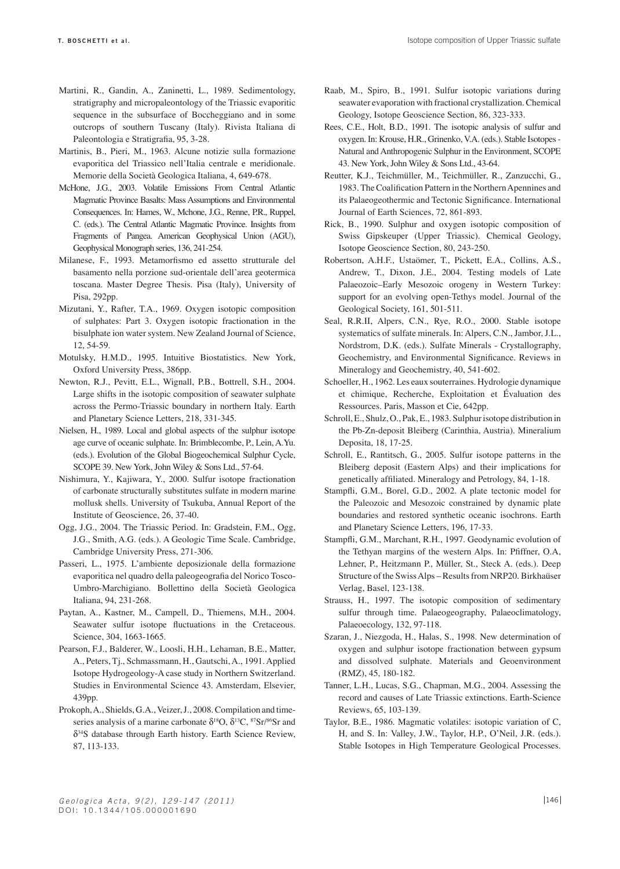- Martini, R., Gandin, A., Zaninetti, L., 1989. Sedimentology, stratigraphy and micropaleontology of the Triassic evaporitic sequence in the subsurface of Boccheggiano and in some outcrops of southern Tuscany (Italy). Rivista Italiana di Paleontologia e Stratigrafia, 95, 3-28.
- Martinis, B., Pieri, M., 1963. Alcune notizie sulla formazione evaporitica del Triassico nell'Italia centrale e meridionale. Memorie della Società Geologica Italiana, 4, 649-678.
- McHone, J.G., 2003. Volatile Emissions From Central Atlantic Magmatic Province Basalts: Mass Assumptions and Environmental Consequences. In: Hames, W., Mchone, J.G., Renne, P.R., Ruppel, C. (eds.). The Central Atlantic Magmatic Province. Insights from Fragments of Pangea. American Geophysical Union (AGU), Geophysical Monograph series, 136, 241-254.
- Milanese, F., 1993. Metamorfismo ed assetto strutturale del basamento nella porzione sud-orientale dell'area geotermica toscana. Master Degree Thesis. Pisa (Italy), University of Pisa, 292pp.
- Mizutani, Y., Rafter, T.A., 1969. Oxygen isotopic composition of sulphates: Part 3. Oxygen isotopic fractionation in the bisulphate ion water system. New Zealand Journal of Science, 12, 54-59.
- Motulsky, H.M.D., 1995. Intuitive Biostatistics. New York, Oxford University Press, 386pp.
- Newton, R.J., Pevitt, E.L., Wignall, P.B., Bottrell, S.H., 2004. Large shifts in the isotopic composition of seawater sulphate across the Permo-Triassic boundary in northern Italy. Earth and Planetary Science Letters, 218, 331-345.
- Nielsen, H., 1989. Local and global aspects of the sulphur isotope age curve of oceanic sulphate. In: Brimblecombe, P., Lein, A.Yu. (eds.). Evolution of the Global Biogeochemical Sulphur Cycle, SCOPE 39. New York, John Wiley & Sons Ltd., 57-64.
- Nishimura, Y., Kajiwara, Y., 2000. Sulfur isotope fractionation of carbonate structurally substitutes sulfate in modern marine mollusk shells. University of Tsukuba, Annual Report of the Institute of Geoscience, 26, 37-40.
- Ogg, J.G., 2004. The Triassic Period. In: Gradstein, F.M., Ogg, J.G., Smith, A.G. (eds.). A Geologic Time Scale. Cambridge, Cambridge University Press, 271-306.
- Passeri, L., 1975. L'ambiente deposizionale della formazione evaporitica nel quadro della paleogeografia del Norico Tosco-Umbro-Marchigiano. Bollettino della Società Geologica Italiana, 94, 231-268.
- Paytan, A., Kastner, M., Campell, D., Thiemens, M.H., 2004. Seawater sulfur isotope fluctuations in the Cretaceous. Science, 304, 1663-1665.
- Pearson, F.J., Balderer, W., Loosli, H.H., Lehaman, B.E., Matter, A., Peters, Tj., Schmassmann, H., Gautschi, A., 1991. Applied Isotope Hydrogeology-A case study in Northern Switzerland. Studies in Environmental Science 43. Amsterdam, Elsevier, 439pp.
- Prokoph, A., Shields, G.A., Veizer, J., 2008. Compilation and timeseries analysis of a marine carbonate  $\delta^{18}O$ ,  $\delta^{13}C$ ,  $\delta^{8}Sr$  and δ34S database through Earth history. Earth Science Review, 87, 113-133.
- Raab, M., Spiro, B., 1991. Sulfur isotopic variations during seawater evaporation with fractional crystallization. Chemical Geology, Isotope Geoscience Section, 86, 323-333.
- Rees, C.E., Holt, B.D., 1991. The isotopic analysis of sulfur and oxygen. In: Krouse, H.R., Grinenko, V.A. (eds.). Stable Isotopes - Natural and Anthropogenic Sulphur in the Environment, SCOPE 43. New York, John Wiley & Sons Ltd., 43-64.
- Reutter, K.J., Teichmüller, M., Teichmüller, R., Zanzucchi, G., 1983. The Coalification Pattern in the Northern Apennines and its Palaeogeothermic and Tectonic Significance. International Journal of Earth Sciences, 72, 861-893.
- Rick, B., 1990. Sulphur and oxygen isotopic composition of Swiss Gipskeuper (Upper Triassic). Chemical Geology, Isotope Geoscience Section, 80, 243-250.
- Robertson, A.H.F., Ustaömer, T., Pickett, E.A., Collins, A.S., Andrew, T., Dixon, J.E., 2004. Testing models of Late Palaeozoic–Early Mesozoic orogeny in Western Turkey: support for an evolving open-Tethys model. Journal of the Geological Society, 161, 501-511.
- Seal, R.R.II, Alpers, C.N., Rye, R.O., 2000. Stable isotope systematics of sulfate minerals. In: Alpers, C.N., Jambor, J.L., Nordstrom, D.K. (eds.). Sulfate Minerals - Crystallography, Geochemistry, and Environmental Significance. Reviews in Mineralogy and Geochemistry, 40, 541-602.
- Schoeller, H., 1962. Les eaux souterraines. Hydrologie dynamique et chimique, Recherche, Exploitation et Évaluation des Ressources. Paris, Masson et Cie, 642pp.
- Schroll, E., Shulz, O., Pak, E., 1983. Sulphur isotope distribution in the Pb-Zn-deposit Bleiberg (Carinthia, Austria). Mineralium Deposita, 18, 17-25.
- Schroll, E., Rantitsch, G., 2005. Sulfur isotope patterns in the Bleiberg deposit (Eastern Alps) and their implications for genetically affiliated. Mineralogy and Petrology, 84, 1-18.
- Stampfli, G.M., Borel, G.D., 2002. A plate tectonic model for the Paleozoic and Mesozoic constrained by dynamic plate boundaries and restored synthetic oceanic isochrons. Earth and Planetary Science Letters, 196, 17-33.
- Stampfli, G.M., Marchant, R.H., 1997. Geodynamic evolution of the Tethyan margins of the western Alps. In: Pfiffner, O.A, Lehner, P., Heitzmann P., Müller, St., Steck A. (eds.). Deep Structure of the Swiss Alps – Results from NRP20. Birkhaüser Verlag, Basel, 123-138.
- Strauss, H., 1997. The isotopic composition of sedimentary sulfur through time. Palaeogeography, Palaeoclimatology, Palaeoecology, 132, 97-118.
- Szaran, J., Niezgoda, H., Halas, S., 1998. New determination of oxygen and sulphur isotope fractionation between gypsum and dissolved sulphate. Materials and Geoenvironment (RMZ), 45, 180-182.
- Tanner, L.H., Lucas, S.G., Chapman, M.G., 2004. Assessing the record and causes of Late Triassic extinctions. Earth-Science Reviews, 65, 103-139.
- Taylor, B.E., 1986. Magmatic volatiles: isotopic variation of C, H, and S. In: Valley, J.W., Taylor, H.P., O'Neil, J.R. (eds.). Stable Isotopes in High Temperature Geological Processes.